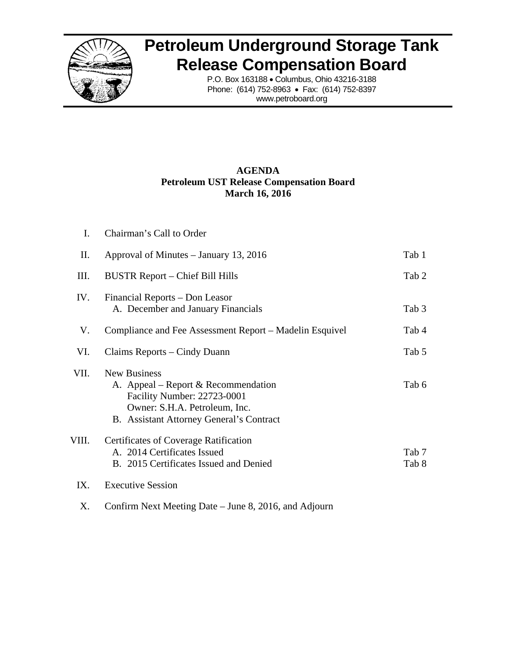

## **Petroleum Underground Storage Tank Release Compensation Board**

P.O. Box 163188 • Columbus, Ohio 43216-3188 Phone: (614) 752-8963 • Fax: (614) 752-8397 www.petroboard.org

## **AGENDA Petroleum UST Release Compensation Board March 16, 2016**

| I.    | Chairman's Call to Order                                                                                                                                               |                |
|-------|------------------------------------------------------------------------------------------------------------------------------------------------------------------------|----------------|
| П.    | Approval of Minutes – January 13, 2016                                                                                                                                 | Tab 1          |
| Ш.    | BUSTR Report – Chief Bill Hills                                                                                                                                        | Tab 2          |
| IV.   | Financial Reports – Don Leasor<br>A. December and January Financials                                                                                                   | Tab 3          |
| V.    | Compliance and Fee Assessment Report – Madelin Esquivel                                                                                                                | Tab 4          |
| VI.   | Claims Reports – Cindy Duann                                                                                                                                           | Tab 5          |
| VII.  | <b>New Business</b><br>A. Appeal – Report & Recommendation<br>Facility Number: 22723-0001<br>Owner: S.H.A. Petroleum, Inc.<br>B. Assistant Attorney General's Contract | Tab 6          |
| VIII. | Certificates of Coverage Ratification<br>A. 2014 Certificates Issued<br>B. 2015 Certificates Issued and Denied                                                         | Tab 7<br>Tab 8 |
| IX.   | <b>Executive Session</b>                                                                                                                                               |                |
|       |                                                                                                                                                                        |                |

X. Confirm Next Meeting Date – June 8, 2016, and Adjourn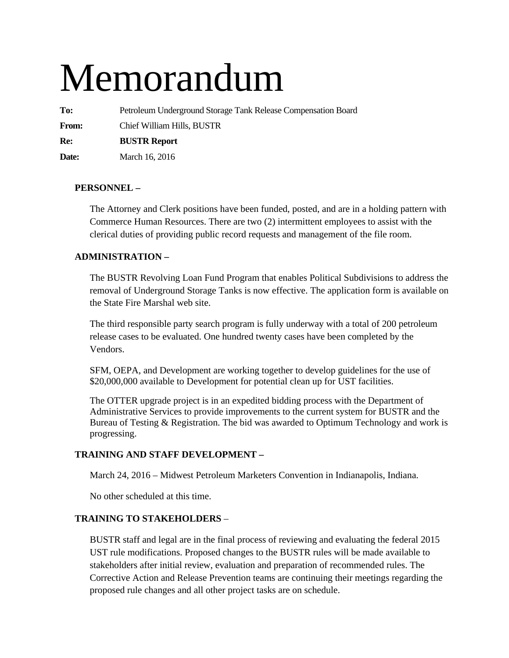# Memorandum

**To:** Petroleum Underground Storage Tank Release Compensation Board

**From:** Chief William Hills, BUSTR

**Re: BUSTR Report** 

**Date:** March 16, 2016

## **PERSONNEL –**

The Attorney and Clerk positions have been funded, posted, and are in a holding pattern with Commerce Human Resources. There are two (2) intermittent employees to assist with the clerical duties of providing public record requests and management of the file room.

## **ADMINISTRATION –**

The BUSTR Revolving Loan Fund Program that enables Political Subdivisions to address the removal of Underground Storage Tanks is now effective. The application form is available on the State Fire Marshal web site.

The third responsible party search program is fully underway with a total of 200 petroleum release cases to be evaluated. One hundred twenty cases have been completed by the Vendors.

SFM, OEPA, and Development are working together to develop guidelines for the use of \$20,000,000 available to Development for potential clean up for UST facilities.

The OTTER upgrade project is in an expedited bidding process with the Department of Administrative Services to provide improvements to the current system for BUSTR and the Bureau of Testing & Registration. The bid was awarded to Optimum Technology and work is progressing.

## **TRAINING AND STAFF DEVELOPMENT –**

March 24, 2016 – Midwest Petroleum Marketers Convention in Indianapolis, Indiana.

No other scheduled at this time.

## **TRAINING TO STAKEHOLDERS** –

BUSTR staff and legal are in the final process of reviewing and evaluating the federal 2015 UST rule modifications. Proposed changes to the BUSTR rules will be made available to stakeholders after initial review, evaluation and preparation of recommended rules. The Corrective Action and Release Prevention teams are continuing their meetings regarding the proposed rule changes and all other project tasks are on schedule.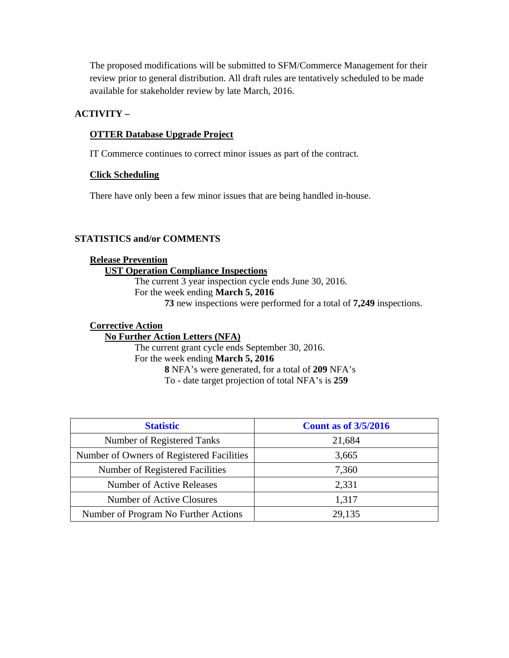The proposed modifications will be submitted to SFM/Commerce Management for their review prior to general distribution. All draft rules are tentatively scheduled to be made available for stakeholder review by late March, 2016.

## **ACTIVITY –**

#### **OTTER Database Upgrade Project**

IT Commerce continues to correct minor issues as part of the contract.

#### **Click Scheduling**

There have only been a few minor issues that are being handled in-house.

## **STATISTICS and/or COMMENTS**

#### **Release Prevention UST Operation Compliance Inspections**

The current 3 year inspection cycle ends June 30, 2016. For the week ending **March 5, 2016 73** new inspections were performed for a total of **7,249** inspections.

#### **Corrective Action**

#### **No Further Action Letters (NFA)**

The current grant cycle ends September 30, 2016. For the week ending **March 5, 2016 8** NFA's were generated, for a total of **209** NFA's To - date target projection of total NFA's is **259** 

| <b>Statistic</b>                          | <b>Count as of 3/5/2016</b> |
|-------------------------------------------|-----------------------------|
| Number of Registered Tanks                | 21,684                      |
| Number of Owners of Registered Facilities | 3,665                       |
| Number of Registered Facilities           | 7,360                       |
| Number of Active Releases                 | 2,331                       |
| Number of Active Closures                 | 1,317                       |
| Number of Program No Further Actions      | 29,135                      |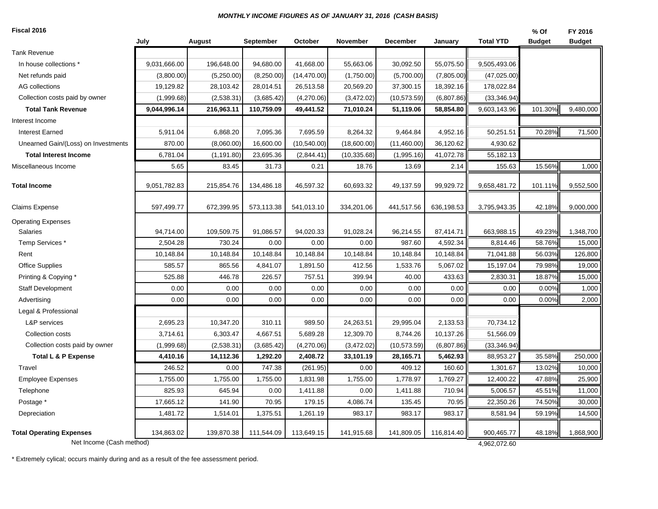#### *MONTHLY INCOME FIGURES AS OF JANUARY 31, 2016 (CASH BASIS)*

**Fiscal 2016**

| Fiscal 2016                         |              |             |            |              |              |              |            |                  | % Of          | FY 2016       |
|-------------------------------------|--------------|-------------|------------|--------------|--------------|--------------|------------|------------------|---------------|---------------|
|                                     | July         | August      | September  | October      | November     | December     | January    | <b>Total YTD</b> | <b>Budget</b> | <b>Budget</b> |
| <b>Tank Revenue</b>                 |              |             |            |              |              |              |            |                  |               |               |
| In house collections *              | 9,031,666.00 | 196,648.00  | 94,680.00  | 41,668.00    | 55,663.06    | 30,092.50    | 55,075.50  | 9,505,493.06     |               |               |
| Net refunds paid                    | (3,800.00)   | (5,250.00)  | (8,250.00) | (14, 470.00) | (1,750.00)   | (5,700.00)   | (7,805.00) | (47,025.00)      |               |               |
| <b>AG</b> collections               | 19,129.82    | 28,103.42   | 28,014.51  | 26,513.58    | 20,569.20    | 37,300.15    | 18,392.16  | 178,022.84       |               |               |
| Collection costs paid by owner      | (1,999.68)   | (2,538.31)  | (3,685.42) | (4,270.06)   | (3,472.02)   | (10, 573.59) | (6,807.86) | (33, 346.94)     |               |               |
| <b>Total Tank Revenue</b>           | 9,044,996.14 | 216,963.11  | 110,759.09 | 49,441.52    | 71,010.24    | 51,119.06    | 58,854.80  | 9,603,143.96     | 101.30%       | 9,480,000     |
| Interest Income                     |              |             |            |              |              |              |            |                  |               |               |
| <b>Interest Earned</b>              | 5,911.04     | 6,868.20    | 7,095.36   | 7,695.59     | 8,264.32     | 9,464.84     | 4,952.16   | 50,251.51        | 70.28%        | 71,500        |
| Unearned Gain/(Loss) on Investments | 870.00       | (8,060.00)  | 16,600.00  | (10,540.00)  | (18,600.00)  | (11,460.00)  | 36,120.62  | 4,930.62         |               |               |
| <b>Total Interest Income</b>        | 6,781.04     | (1, 191.80) | 23,695.36  | (2,844.41)   | (10, 335.68) | (1,995.16)   | 41,072.78  | 55,182.13        |               |               |
| Miscellaneous Income                | 5.65         | 83.45       | 31.73      | 0.21         | 18.76        | 13.69        | 2.14       | 155.63           | 15.56%        | 1,000         |
| <b>Total Income</b>                 | 9,051,782.83 | 215,854.76  | 134,486.18 | 46,597.32    | 60,693.32    | 49,137.59    | 99,929.72  | 9,658,481.72     | 101.11%       | 9,552,500     |
| Claims Expense                      | 597,499.77   | 672,399.95  | 573,113.38 | 541,013.10   | 334,201.06   | 441,517.56   | 636,198.53 | 3,795,943.35     | 42.18%        | 9,000,000     |
| <b>Operating Expenses</b>           |              |             |            |              |              |              |            |                  |               |               |
| Salaries                            | 94,714.00    | 109,509.75  | 91,086.57  | 94,020.33    | 91,028.24    | 96,214.55    | 87,414.71  | 663,988.15       | 49.23%        | 1,348,700     |
| Temp Services *                     | 2,504.28     | 730.24      | 0.00       | 0.00         | 0.00         | 987.60       | 4,592.34   | 8,814.46         | 58.76%        | 15,000        |
| Rent                                | 10,148.84    | 10,148.84   | 10,148.84  | 10,148.84    | 10,148.84    | 10,148.84    | 10,148.84  | 71,041.88        | 56.03%        | 126,800       |
| <b>Office Supplies</b>              | 585.57       | 865.56      | 4,841.07   | 1,891.50     | 412.56       | 1,533.76     | 5,067.02   | 15,197.04        | 79.98%        | 19,000        |
| Printing & Copying *                | 525.88       | 446.78      | 226.57     | 757.51       | 399.94       | 40.00        | 433.63     | 2,830.31         | 18.87%        | 15,000        |
| <b>Staff Development</b>            | 0.00         | 0.00        | 0.00       | 0.00         | 0.00         | 0.00         | 0.00       | 0.00             | 0.00%         | 1,000         |
| Advertising                         | 0.00         | 0.00        | 0.00       | 0.00         | 0.00         | 0.00         | 0.00       | 0.00             | 0.00%         | 2,000         |
| Legal & Professional                |              |             |            |              |              |              |            |                  |               |               |
| L&P services                        | 2,695.23     | 10,347.20   | 310.11     | 989.50       | 24,263.51    | 29,995.04    | 2,133.53   | 70,734.12        |               |               |
| Collection costs                    | 3,714.61     | 6,303.47    | 4,667.51   | 5,689.28     | 12,309.70    | 8,744.26     | 10,137.26  | 51,566.09        |               |               |
| Collection costs paid by owner      | (1,999.68)   | (2,538.31)  | (3,685.42) | (4,270.06)   | (3,472.02)   | (10, 573.59) | (6,807.86) | (33, 346.94)     |               |               |
| Total L & P Expense                 | 4,410.16     | 14,112.36   | 1,292.20   | 2,408.72     | 33,101.19    | 28,165.71    | 5,462.93   | 88,953.27        | 35.58%        | 250,000       |
| Travel                              | 246.52       | 0.00        | 747.38     | (261.95)     | 0.00         | 409.12       | 160.60     | 1,301.67         | 13.02%        | 10,000        |
| <b>Employee Expenses</b>            | 1,755.00     | 1,755.00    | 1,755.00   | 1,831.98     | 1,755.00     | 1,778.97     | 1,769.27   | 12,400.22        | 47.88%        | 25,900        |
| Telephone                           | 825.93       | 645.94      | 0.00       | 1,411.88     | 0.00         | 1,411.88     | 710.94     | 5,006.57         | 45.51%        | 11,000        |
| Postage *                           | 17,665.12    | 141.90      | 70.95      | 179.15       | 4,086.74     | 135.45       | 70.95      | 22,350.26        | 74.50%        | 30,000        |
| Depreciation                        | 1,481.72     | 1,514.01    | 1,375.51   | 1,261.19     | 983.17       | 983.17       | 983.17     | 8,581.94         | 59.19%        | 14,500        |
| <b>Total Operating Expenses</b>     | 134,863.02   | 139,870.38  | 111,544.09 | 113,649.15   | 141,915.68   | 141,809.05   | 116,814.40 | 900,465.77       | 48.18%        | 1,868,900     |
| Net Income (Cash method)            |              |             |            |              |              |              |            | 4,962,072.60     |               |               |

\* Extremely cylical; occurs mainly during and as a result of the fee assessment period.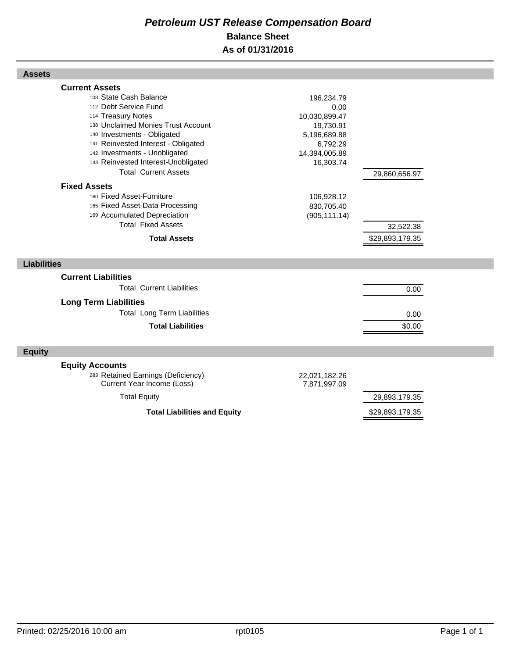## *Petroleum UST Release Compensation Board*  **Balance Sheet As of 01/31/2016**

| <b>Assets</b>                                                                                                                                                                                                                                                                                                                                                                                                                                                                                |                                                                                                                                                         |                                               |  |
|----------------------------------------------------------------------------------------------------------------------------------------------------------------------------------------------------------------------------------------------------------------------------------------------------------------------------------------------------------------------------------------------------------------------------------------------------------------------------------------------|---------------------------------------------------------------------------------------------------------------------------------------------------------|-----------------------------------------------|--|
| <b>Current Assets</b><br>108 State Cash Balance<br>112 Debt Service Fund<br>114 Treasury Notes<br>138 Unclaimed Monies Trust Account<br>140 Investments - Obligated<br>141 Reinvested Interest - Obligated<br>142 Investments - Unobligated<br>143 Reinvested Interest-Unobligated<br><b>Total Current Assets</b><br><b>Fixed Assets</b><br>160 Fixed Asset-Furniture<br>165 Fixed Asset-Data Processing<br>169 Accumulated Depreciation<br><b>Total Fixed Assets</b><br><b>Total Assets</b> | 196,234.79<br>0.00<br>10,030,899.47<br>19,730.91<br>5,196,689.88<br>6,792.29<br>14,394,005.89<br>16,303.74<br>106,928.12<br>830,705.40<br>(905, 111.14) | 29,860,656.97<br>32,522.38<br>\$29,893,179.35 |  |
| <b>Liabilities</b>                                                                                                                                                                                                                                                                                                                                                                                                                                                                           |                                                                                                                                                         |                                               |  |
| <b>Current Liabilities</b>                                                                                                                                                                                                                                                                                                                                                                                                                                                                   |                                                                                                                                                         |                                               |  |
| <b>Total Current Liabilities</b>                                                                                                                                                                                                                                                                                                                                                                                                                                                             |                                                                                                                                                         | 0.00                                          |  |
| <b>Long Term Liabilities</b>                                                                                                                                                                                                                                                                                                                                                                                                                                                                 |                                                                                                                                                         |                                               |  |
| <b>Total Long Term Liabilities</b>                                                                                                                                                                                                                                                                                                                                                                                                                                                           |                                                                                                                                                         | 0.00                                          |  |
| <b>Total Liabilities</b>                                                                                                                                                                                                                                                                                                                                                                                                                                                                     |                                                                                                                                                         | \$0.00                                        |  |
| <b>Equity</b>                                                                                                                                                                                                                                                                                                                                                                                                                                                                                |                                                                                                                                                         |                                               |  |
| <b>Equity Accounts</b><br>283 Retained Earnings (Deficiency)<br>Current Year Income (Loss)                                                                                                                                                                                                                                                                                                                                                                                                   | 22,021,182.26<br>7,871,997.09                                                                                                                           |                                               |  |
|                                                                                                                                                                                                                                                                                                                                                                                                                                                                                              |                                                                                                                                                         |                                               |  |
| <b>Total Equity</b>                                                                                                                                                                                                                                                                                                                                                                                                                                                                          |                                                                                                                                                         | 29,893,179.35                                 |  |

Г

Г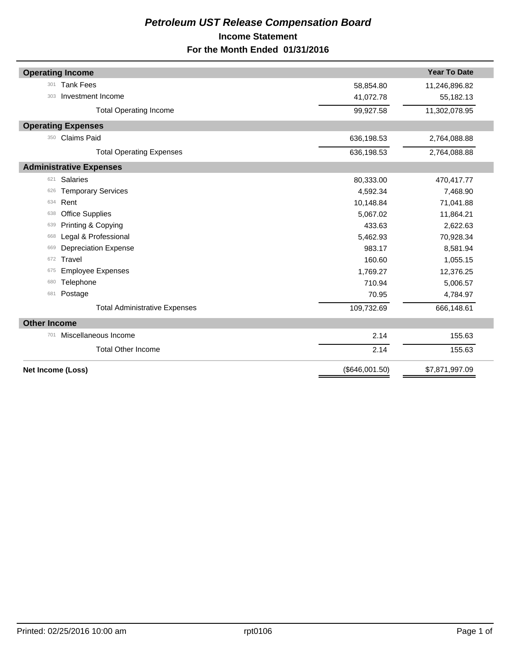## *Petroleum UST Release Compensation Board*  **Income Statement For the Month Ended 01/31/2016**

|                     | <b>Operating Income</b>              |                | <b>Year To Date</b> |
|---------------------|--------------------------------------|----------------|---------------------|
| 301                 | <b>Tank Fees</b>                     | 58,854.80      | 11,246,896.82       |
| 303                 | Investment Income                    | 41,072.78      | 55,182.13           |
|                     | <b>Total Operating Income</b>        | 99,927.58      | 11,302,078.95       |
|                     | <b>Operating Expenses</b>            |                |                     |
| 350                 | <b>Claims Paid</b>                   | 636,198.53     | 2,764,088.88        |
|                     | <b>Total Operating Expenses</b>      | 636,198.53     | 2,764,088.88        |
|                     | <b>Administrative Expenses</b>       |                |                     |
| 621                 | <b>Salaries</b>                      | 80,333.00      | 470,417.77          |
| 626                 | <b>Temporary Services</b>            | 4,592.34       | 7,468.90            |
| 634                 | Rent                                 | 10,148.84      | 71,041.88           |
| 638                 | <b>Office Supplies</b>               | 5,067.02       | 11,864.21           |
| 639                 | Printing & Copying                   | 433.63         | 2,622.63            |
| 668                 | Legal & Professional                 | 5,462.93       | 70,928.34           |
| 669                 | <b>Depreciation Expense</b>          | 983.17         | 8,581.94            |
| 672                 | Travel                               | 160.60         | 1,055.15            |
| 675                 | <b>Employee Expenses</b>             | 1,769.27       | 12,376.25           |
| 680                 | Telephone                            | 710.94         | 5,006.57            |
| 681                 | Postage                              | 70.95          | 4,784.97            |
|                     | <b>Total Administrative Expenses</b> | 109,732.69     | 666,148.61          |
| <b>Other Income</b> |                                      |                |                     |
| 701                 | Miscellaneous Income                 | 2.14           | 155.63              |
|                     | <b>Total Other Income</b>            | 2.14           | 155.63              |
| Net Income (Loss)   |                                      | (\$646,001.50) | \$7,871,997.09      |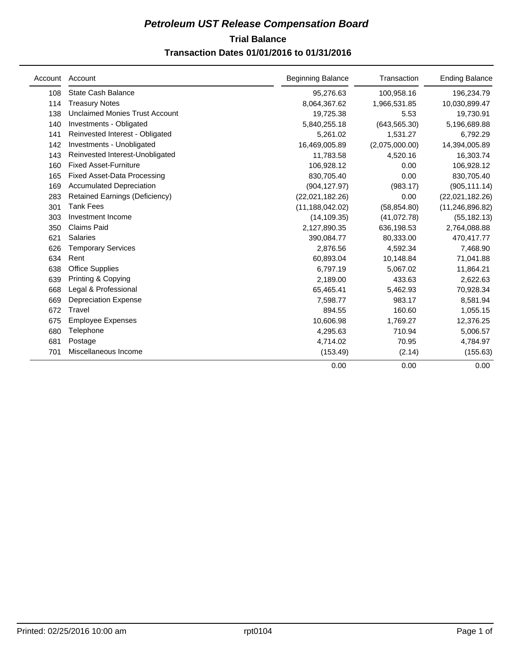## **Trial Balance** *Petroleum UST Release Compensation Board*

## **Transaction Dates 01/01/2016 to 01/31/2016**

| Account | Account                               | <b>Beginning Balance</b> | Transaction    | <b>Ending Balance</b> |
|---------|---------------------------------------|--------------------------|----------------|-----------------------|
| 108     | State Cash Balance                    | 95,276.63                | 100,958.16     | 196,234.79            |
| 114     | <b>Treasury Notes</b>                 | 8,064,367.62             | 1,966,531.85   | 10,030,899.47         |
| 138     | <b>Unclaimed Monies Trust Account</b> | 19,725.38                | 5.53           | 19,730.91             |
| 140     | Investments - Obligated               | 5,840,255.18             | (643, 565.30)  | 5,196,689.88          |
| 141     | Reinvested Interest - Obligated       | 5,261.02                 | 1,531.27       | 6,792.29              |
| 142     | Investments - Unobligated             | 16,469,005.89            | (2,075,000.00) | 14,394,005.89         |
| 143     | Reinvested Interest-Unobligated       | 11,783.58                | 4,520.16       | 16,303.74             |
| 160     | <b>Fixed Asset-Furniture</b>          | 106,928.12               | 0.00           | 106,928.12            |
| 165     | <b>Fixed Asset-Data Processing</b>    | 830,705.40               | 0.00           | 830,705.40            |
| 169     | <b>Accumulated Depreciation</b>       | (904, 127.97)            | (983.17)       | (905, 111.14)         |
| 283     | <b>Retained Earnings (Deficiency)</b> | (22,021,182.26)          | 0.00           | (22,021,182.26)       |
| 301     | <b>Tank Fees</b>                      | (11, 188, 042.02)        | (58, 854.80)   | (11, 246, 896.82)     |
| 303     | Investment Income                     | (14, 109.35)             | (41,072.78)    | (55, 182.13)          |
| 350     | <b>Claims Paid</b>                    | 2,127,890.35             | 636,198.53     | 2,764,088.88          |
| 621     | <b>Salaries</b>                       | 390,084.77               | 80,333.00      | 470,417.77            |
| 626     | <b>Temporary Services</b>             | 2,876.56                 | 4,592.34       | 7,468.90              |
| 634     | Rent                                  | 60,893.04                | 10,148.84      | 71,041.88             |
| 638     | <b>Office Supplies</b>                | 6,797.19                 | 5,067.02       | 11,864.21             |
| 639     | Printing & Copying                    | 2,189.00                 | 433.63         | 2,622.63              |
| 668     | Legal & Professional                  | 65,465.41                | 5,462.93       | 70,928.34             |
| 669     | <b>Depreciation Expense</b>           | 7,598.77                 | 983.17         | 8,581.94              |
| 672     | Travel                                | 894.55                   | 160.60         | 1,055.15              |
| 675     | <b>Employee Expenses</b>              | 10,606.98                | 1,769.27       | 12,376.25             |
| 680     | Telephone                             | 4,295.63                 | 710.94         | 5,006.57              |
| 681     | Postage                               | 4,714.02                 | 70.95          | 4,784.97              |
| 701     | Miscellaneous Income                  | (153.49)                 | (2.14)         | (155.63)              |
|         |                                       | 0.00                     | 0.00           | 0.00                  |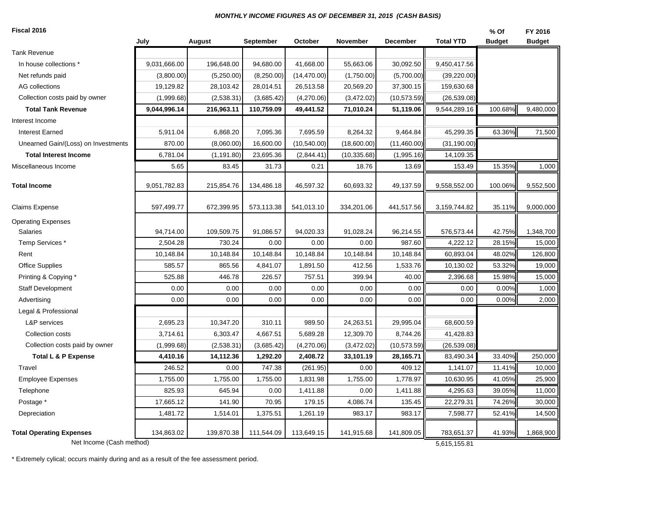#### *MONTHLY INCOME FIGURES AS OF DECEMBER 31, 2015 (CASH BASIS)*

**Fiscal 2016**

| Fiscal 2016                         |              |             |            |              |              |              |                  | % Of          | FY 2016       |
|-------------------------------------|--------------|-------------|------------|--------------|--------------|--------------|------------------|---------------|---------------|
|                                     | July         | August      | September  | October      | November     | December     | <b>Total YTD</b> | <b>Budget</b> | <b>Budget</b> |
| Tank Revenue                        |              |             |            |              |              |              |                  |               |               |
| In house collections *              | 9,031,666.00 | 196,648.00  | 94,680.00  | 41,668.00    | 55,663.06    | 30,092.50    | 9,450,417.56     |               |               |
| Net refunds paid                    | (3,800.00)   | (5,250.00)  | (8,250.00) | (14, 470.00) | (1,750.00)   | (5,700.00)   | (39, 220.00)     |               |               |
| AG collections                      | 19,129.82    | 28,103.42   | 28,014.51  | 26,513.58    | 20,569.20    | 37,300.15    | 159,630.68       |               |               |
| Collection costs paid by owner      | (1,999.68)   | (2,538.31)  | (3,685.42) | (4,270.06)   | (3,472.02)   | (10, 573.59) | (26, 539.08)     |               |               |
| <b>Total Tank Revenue</b>           | 9,044,996.14 | 216,963.11  | 110,759.09 | 49,441.52    | 71,010.24    | 51,119.06    | 9,544,289.16     | 100.68%       | 9,480,000     |
| Interest Income                     |              |             |            |              |              |              |                  |               |               |
| <b>Interest Earned</b>              | 5,911.04     | 6,868.20    | 7,095.36   | 7,695.59     | 8,264.32     | 9,464.84     | 45,299.35        | 63.36%        | 71,500        |
| Unearned Gain/(Loss) on Investments | 870.00       | (8,060.00)  | 16,600.00  | (10, 540.00) | (18,600.00)  | (11,460.00)  | (31, 190.00)     |               |               |
| <b>Total Interest Income</b>        | 6,781.04     | (1, 191.80) | 23,695.36  | (2,844.41)   | (10, 335.68) | (1,995.16)   | 14,109.35        |               |               |
| Miscellaneous Income                | 5.65         | 83.45       | 31.73      | 0.21         | 18.76        | 13.69        | 153.49           | 15.35%        | 1,000         |
| Total Income                        | 9,051,782.83 | 215,854.76  | 134,486.18 | 46,597.32    | 60,693.32    | 49,137.59    | 9,558,552.00     | 100.06%       | 9,552,500     |
| Claims Expense                      | 597,499.77   | 672,399.95  | 573,113.38 | 541,013.10   | 334,201.06   | 441,517.56   | 3,159,744.82     | 35.11%        | 9,000,000     |
| <b>Operating Expenses</b>           |              |             |            |              |              |              |                  |               |               |
| Salaries                            | 94,714.00    | 109,509.75  | 91,086.57  | 94,020.33    | 91,028.24    | 96,214.55    | 576,573.44       | 42.75%        | 1,348,700     |
| Temp Services *                     | 2,504.28     | 730.24      | 0.00       | 0.00         | 0.00         | 987.60       | 4,222.12         | 28.15%        | 15,000        |
| Rent                                | 10,148.84    | 10,148.84   | 10,148.84  | 10,148.84    | 10,148.84    | 10,148.84    | 60,893.04        | 48.02%        | 126,800       |
| <b>Office Supplies</b>              | 585.57       | 865.56      | 4,841.07   | 1,891.50     | 412.56       | 1,533.76     | 10,130.02        | 53.32%        | 19,000        |
| Printing & Copying *                | 525.88       | 446.78      | 226.57     | 757.51       | 399.94       | 40.00        | 2,396.68         | 15.98%        | 15,000        |
| <b>Staff Development</b>            | 0.00         | 0.00        | 0.00       | 0.00         | 0.00         | 0.00         | 0.00             | 0.00%         | 1,000         |
| Advertising                         | 0.00         | 0.00        | 0.00       | 0.00         | 0.00         | 0.00         | 0.00             | 0.00%         | 2,000         |
| Legal & Professional                |              |             |            |              |              |              |                  |               |               |
| L&P services                        | 2,695.23     | 10,347.20   | 310.11     | 989.50       | 24,263.51    | 29,995.04    | 68,600.59        |               |               |
| Collection costs                    | 3,714.61     | 6,303.47    | 4,667.51   | 5,689.28     | 12,309.70    | 8,744.26     | 41,428.83        |               |               |
| Collection costs paid by owner      | (1,999.68)   | (2,538.31)  | (3,685.42) | (4,270.06)   | (3,472.02)   | (10, 573.59) | (26, 539.08)     |               |               |
| <b>Total L &amp; P Expense</b>      | 4,410.16     | 14,112.36   | 1,292.20   | 2,408.72     | 33,101.19    | 28,165.71    | 83,490.34        | 33.40%        | 250,000       |
| Travel                              | 246.52       | 0.00        | 747.38     | (261.95)     | 0.00         | 409.12       | 1,141.07         | 11.41%        | 10,000        |
| <b>Employee Expenses</b>            | 1,755.00     | 1,755.00    | 1,755.00   | 1,831.98     | 1,755.00     | 1,778.97     | 10,630.95        | 41.05%        | 25,900        |
| Telephone                           | 825.93       | 645.94      | 0.00       | 1,411.88     | 0.00         | 1,411.88     | 4,295.63         | 39.05%        | 11,000        |
| Postage *                           | 17,665.12    | 141.90      | 70.95      | 179.15       | 4,086.74     | 135.45       | 22,279.31        | 74.26%        | 30,000        |
| Depreciation                        | 1,481.72     | 1,514.01    | 1,375.51   | 1,261.19     | 983.17       | 983.17       | 7,598.77         | 52.41%        | 14,500        |
| <b>Total Operating Expenses</b>     | 134,863.02   | 139,870.38  | 111,544.09 | 113,649.15   | 141,915.68   | 141,809.05   | 783,651.37       | 41.93%        | 1,868,900     |
| Net Income (Cash method)            |              |             |            |              |              |              | 5,615,155.81     |               |               |

\* Extremely cylical; occurs mainly during and as a result of the fee assessment period.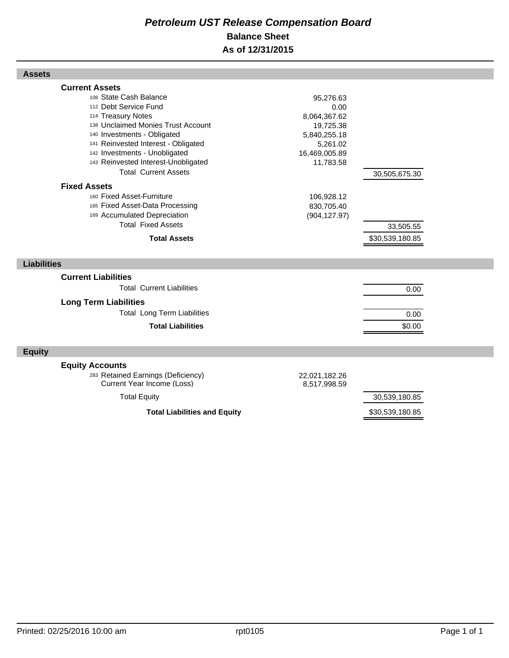## *Petroleum UST Release Compensation Board*  **Balance Sheet As of 12/31/2015**

| <b>Assets</b>                                                                                                                                                                                                                                                                                                                                                                                                                                                                                |                                                                                                                                                       |                                               |  |
|----------------------------------------------------------------------------------------------------------------------------------------------------------------------------------------------------------------------------------------------------------------------------------------------------------------------------------------------------------------------------------------------------------------------------------------------------------------------------------------------|-------------------------------------------------------------------------------------------------------------------------------------------------------|-----------------------------------------------|--|
| <b>Current Assets</b><br>108 State Cash Balance<br>112 Debt Service Fund<br>114 Treasury Notes<br>138 Unclaimed Monies Trust Account<br>140 Investments - Obligated<br>141 Reinvested Interest - Obligated<br>142 Investments - Unobligated<br>143 Reinvested Interest-Unobligated<br><b>Total Current Assets</b><br><b>Fixed Assets</b><br>160 Fixed Asset-Furniture<br>165 Fixed Asset-Data Processing<br>169 Accumulated Depreciation<br><b>Total Fixed Assets</b><br><b>Total Assets</b> | 95,276.63<br>0.00<br>8,064,367.62<br>19,725.38<br>5,840,255.18<br>5,261.02<br>16,469,005.89<br>11,783.58<br>106,928.12<br>830,705.40<br>(904, 127.97) | 30,505,675.30<br>33,505.55<br>\$30,539,180.85 |  |
| <b>Liabilities</b>                                                                                                                                                                                                                                                                                                                                                                                                                                                                           |                                                                                                                                                       |                                               |  |
| <b>Current Liabilities</b><br><b>Total Current Liabilities</b><br><b>Long Term Liabilities</b><br><b>Total Long Term Liabilities</b><br><b>Total Liabilities</b>                                                                                                                                                                                                                                                                                                                             |                                                                                                                                                       | 0.00<br>0.00<br>\$0.00                        |  |
| <b>Equity</b>                                                                                                                                                                                                                                                                                                                                                                                                                                                                                |                                                                                                                                                       |                                               |  |
| <b>Equity Accounts</b><br>283 Retained Earnings (Deficiency)<br>Current Year Income (Loss)<br><b>Total Equity</b>                                                                                                                                                                                                                                                                                                                                                                            | 22,021,182.26<br>8,517,998.59                                                                                                                         | 30,539,180.85                                 |  |
| <b>Total Liabilities and Equity</b>                                                                                                                                                                                                                                                                                                                                                                                                                                                          |                                                                                                                                                       | \$30,539,180.85                               |  |

Г

Г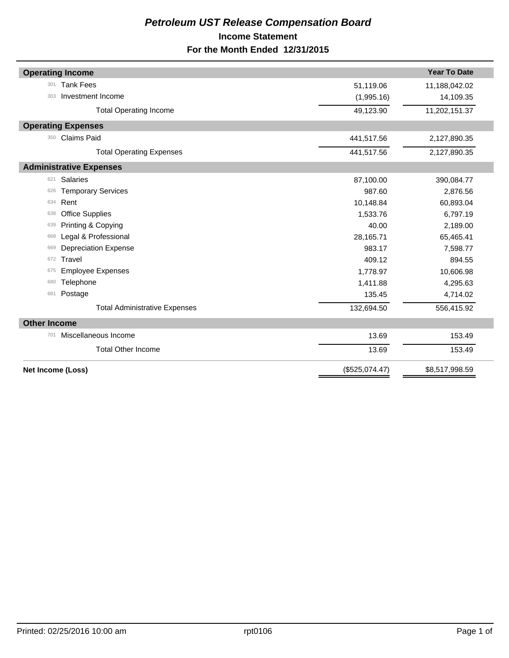## *Petroleum UST Release Compensation Board*  **Income Statement For the Month Ended 12/31/2015**

|                     | <b>Operating Income</b>              |                | <b>Year To Date</b> |
|---------------------|--------------------------------------|----------------|---------------------|
| 301                 | <b>Tank Fees</b>                     | 51,119.06      | 11,188,042.02       |
| 303                 | Investment Income                    | (1,995.16)     | 14,109.35           |
|                     | <b>Total Operating Income</b>        | 49,123.90      | 11,202,151.37       |
|                     | <b>Operating Expenses</b>            |                |                     |
| 350                 | <b>Claims Paid</b>                   | 441,517.56     | 2,127,890.35        |
|                     | <b>Total Operating Expenses</b>      | 441,517.56     | 2,127,890.35        |
|                     | <b>Administrative Expenses</b>       |                |                     |
| 621                 | <b>Salaries</b>                      | 87,100.00      | 390,084.77          |
| 626                 | <b>Temporary Services</b>            | 987.60         | 2,876.56            |
| 634                 | Rent                                 | 10,148.84      | 60,893.04           |
| 638                 | <b>Office Supplies</b>               | 1,533.76       | 6,797.19            |
| 639                 | Printing & Copying                   | 40.00          | 2,189.00            |
| 668                 | Legal & Professional                 | 28,165.71      | 65,465.41           |
| 669                 | <b>Depreciation Expense</b>          | 983.17         | 7,598.77            |
| 672                 | Travel                               | 409.12         | 894.55              |
| 675                 | <b>Employee Expenses</b>             | 1,778.97       | 10,606.98           |
| 680                 | Telephone                            | 1,411.88       | 4,295.63            |
| 681                 | Postage                              | 135.45         | 4,714.02            |
|                     | <b>Total Administrative Expenses</b> | 132,694.50     | 556,415.92          |
| <b>Other Income</b> |                                      |                |                     |
| 701                 | Miscellaneous Income                 | 13.69          | 153.49              |
|                     | <b>Total Other Income</b>            | 13.69          | 153.49              |
| Net Income (Loss)   |                                      | (\$525,074.47) | \$8,517,998.59      |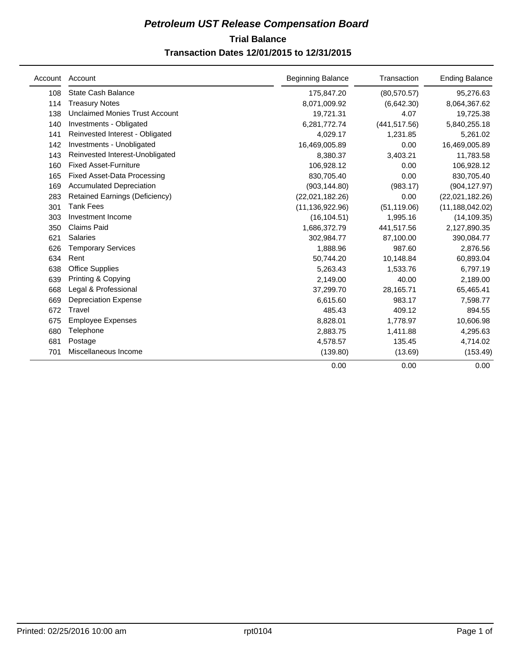## **Trial Balance** *Petroleum UST Release Compensation Board*  **Transaction Dates 12/01/2015 to 12/31/2015**

| Account | Account                               | <b>Beginning Balance</b> | Transaction   | <b>Ending Balance</b> |
|---------|---------------------------------------|--------------------------|---------------|-----------------------|
| 108     | <b>State Cash Balance</b>             | 175,847.20               | (80, 570.57)  | 95,276.63             |
| 114     | <b>Treasury Notes</b>                 | 8,071,009.92             | (6,642.30)    | 8,064,367.62          |
| 138     | <b>Unclaimed Monies Trust Account</b> | 19,721.31                | 4.07          | 19,725.38             |
| 140     | Investments - Obligated               | 6,281,772.74             | (441, 517.56) | 5,840,255.18          |
| 141     | Reinvested Interest - Obligated       | 4,029.17                 | 1,231.85      | 5,261.02              |
| 142     | Investments - Unobligated             | 16,469,005.89            | 0.00          | 16,469,005.89         |
| 143     | Reinvested Interest-Unobligated       | 8,380.37                 | 3,403.21      | 11,783.58             |
| 160     | <b>Fixed Asset-Furniture</b>          | 106,928.12               | 0.00          | 106,928.12            |
| 165     | <b>Fixed Asset-Data Processing</b>    | 830,705.40               | 0.00          | 830,705.40            |
| 169     | <b>Accumulated Depreciation</b>       | (903, 144.80)            | (983.17)      | (904, 127.97)         |
| 283     | <b>Retained Earnings (Deficiency)</b> | (22,021,182.26)          | 0.00          | (22,021,182.26)       |
| 301     | <b>Tank Fees</b>                      | (11, 136, 922.96)        | (51, 119.06)  | (11, 188, 042.02)     |
| 303     | Investment Income                     | (16, 104.51)             | 1,995.16      | (14, 109.35)          |
| 350     | <b>Claims Paid</b>                    | 1,686,372.79             | 441,517.56    | 2,127,890.35          |
| 621     | <b>Salaries</b>                       | 302,984.77               | 87,100.00     | 390,084.77            |
| 626     | <b>Temporary Services</b>             | 1,888.96                 | 987.60        | 2,876.56              |
| 634     | Rent                                  | 50,744.20                | 10,148.84     | 60,893.04             |
| 638     | <b>Office Supplies</b>                | 5.263.43                 | 1,533.76      | 6,797.19              |
| 639     | Printing & Copying                    | 2,149.00                 | 40.00         | 2,189.00              |
| 668     | Legal & Professional                  | 37,299.70                | 28,165.71     | 65,465.41             |
| 669     | <b>Depreciation Expense</b>           | 6,615.60                 | 983.17        | 7,598.77              |
| 672     | Travel                                | 485.43                   | 409.12        | 894.55                |
| 675     | <b>Employee Expenses</b>              | 8,828.01                 | 1,778.97      | 10,606.98             |
| 680     | Telephone                             | 2,883.75                 | 1,411.88      | 4,295.63              |
| 681     | Postage                               | 4,578.57                 | 135.45        | 4,714.02              |
| 701     | Miscellaneous Income                  | (139.80)                 | (13.69)       | (153.49)              |
|         |                                       | 0.00                     | 0.00          | 0.00                  |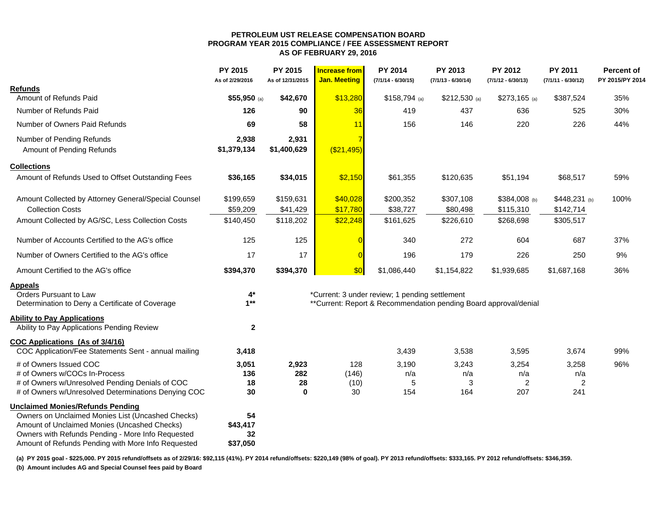#### **PETROLEUM UST RELEASE COMPENSATION BOARD PROGRAM YEAR 2015 COMPLIANCE / FEE ASSESSMENT REPORT AS OF FEBRUARY 29, 2016**

|                                                                                                   | PY 2015<br>As of 2/29/2016 | PY 2015<br>As of 12/31/2015 | <b>Increase from</b><br><b>Jan. Meeting</b> | PY 2014<br>$(7/1/14 - 6/30/15)$                                   | PY 2013<br>$(7/1/13 - 6/30/14)$ | PY 2012<br>$(7/1/12 - 6/30/13)$ | PY 2011<br>$(7/1/11 - 6/30/12)$ | <b>Percent of</b><br>PY 2015/PY 2014 |
|---------------------------------------------------------------------------------------------------|----------------------------|-----------------------------|---------------------------------------------|-------------------------------------------------------------------|---------------------------------|---------------------------------|---------------------------------|--------------------------------------|
| <b>Refunds</b>                                                                                    |                            |                             |                                             |                                                                   |                                 |                                 |                                 |                                      |
| Amount of Refunds Paid                                                                            | $$55,950$ (a)              | \$42,670                    | \$13,280                                    | $$158,794$ (a)                                                    | $$212,530$ (a)                  | $$273,165$ (a)                  | \$387,524                       | 35%                                  |
| Number of Refunds Paid                                                                            | 126                        | 90                          | 36                                          | 419                                                               | 437                             | 636                             | 525                             | 30%                                  |
| Number of Owners Paid Refunds                                                                     | 69                         | 58                          | 11                                          | 156                                                               | 146                             | 220                             | 226                             | 44%                                  |
| Number of Pending Refunds                                                                         | 2,938                      | 2,931                       |                                             |                                                                   |                                 |                                 |                                 |                                      |
| Amount of Pending Refunds                                                                         | \$1,379,134                | \$1,400,629                 | ( \$21,495)                                 |                                                                   |                                 |                                 |                                 |                                      |
| <b>Collections</b>                                                                                |                            |                             |                                             |                                                                   |                                 |                                 |                                 |                                      |
| Amount of Refunds Used to Offset Outstanding Fees                                                 | \$36,165                   | \$34,015                    | \$2,150                                     | \$61,355                                                          | \$120,635                       | \$51,194                        | \$68,517                        | 59%                                  |
| Amount Collected by Attorney General/Special Counsel                                              | \$199,659                  | \$159,631                   | \$40,028                                    | \$200,352                                                         | \$307,108                       | \$384,008 (b)                   | $$448,231$ (b)                  | 100%                                 |
| <b>Collection Costs</b>                                                                           | \$59,209                   | \$41,429                    | \$17,780                                    | \$38,727                                                          | \$80,498                        | \$115,310                       | \$142,714                       |                                      |
| Amount Collected by AG/SC, Less Collection Costs                                                  | \$140,450                  | \$118,202                   | \$22,248                                    | \$161,625                                                         | \$226,610                       | \$268,698                       | \$305,517                       |                                      |
| Number of Accounts Certified to the AG's office                                                   | 125                        | 125                         |                                             | 340                                                               | 272                             | 604                             | 687                             | 37%                                  |
| Number of Owners Certified to the AG's office                                                     | 17                         | 17                          | $\overline{0}$                              | 196                                                               | 179                             | 226                             | 250                             | 9%                                   |
| Amount Certified to the AG's office                                                               | \$394,370                  | \$394,370                   | \$0                                         | \$1,086,440                                                       | \$1,154,822                     | \$1,939,685                     | \$1,687,168                     | 36%                                  |
| <b>Appeals</b>                                                                                    |                            |                             |                                             |                                                                   |                                 |                                 |                                 |                                      |
| Orders Pursuant to Law                                                                            | $4*$                       |                             |                                             | *Current: 3 under review; 1 pending settlement                    |                                 |                                 |                                 |                                      |
| Determination to Deny a Certificate of Coverage                                                   | $1***$                     |                             |                                             | ** Current: Report & Recommendation pending Board approval/denial |                                 |                                 |                                 |                                      |
| <b>Ability to Pay Applications</b><br>Ability to Pay Applications Pending Review                  | $\mathbf{2}$               |                             |                                             |                                                                   |                                 |                                 |                                 |                                      |
| <b>COC Applications (As of 3/4/16)</b>                                                            |                            |                             |                                             |                                                                   |                                 |                                 |                                 |                                      |
| COC Application/Fee Statements Sent - annual mailing                                              | 3,418                      |                             |                                             | 3,439                                                             | 3,538                           | 3,595                           | 3,674                           | 99%                                  |
| # of Owners Issued COC                                                                            | 3,051                      | 2,923                       | 128                                         | 3,190                                                             | 3,243                           | 3,254                           | 3,258                           | 96%                                  |
| # of Owners w/COCs In-Process<br># of Owners w/Unresolved Pending Denials of COC                  | 136<br>18                  | 282<br>28                   | (146)<br>(10)                               | n/a<br>5                                                          | n/a<br>3                        | n/a<br>2                        | n/a<br>$\overline{\mathbf{c}}$  |                                      |
| # of Owners w/Unresolved Determinations Denying COC                                               | 30                         | 0                           | 30                                          | 154                                                               | 164                             | 207                             | 241                             |                                      |
| <b>Unclaimed Monies/Refunds Pending</b>                                                           |                            |                             |                                             |                                                                   |                                 |                                 |                                 |                                      |
| Owners on Unclaimed Monies List (Uncashed Checks)                                                 | 54                         |                             |                                             |                                                                   |                                 |                                 |                                 |                                      |
| Amount of Unclaimed Monies (Uncashed Checks)<br>Owners with Refunds Pending - More Info Requested | \$43,417<br>32             |                             |                                             |                                                                   |                                 |                                 |                                 |                                      |
| Amount of Refunds Pending with More Info Requested                                                | \$37,050                   |                             |                                             |                                                                   |                                 |                                 |                                 |                                      |
|                                                                                                   |                            |                             |                                             |                                                                   |                                 |                                 |                                 |                                      |

**(a) PY 2015 goal - \$225,000. PY 2015 refund/offsets as of 2/29/16: \$92,115 (41%). PY 2014 refund/offsets: \$220,149 (98% of goal). PY 2013 refund/offsets: \$333,165. PY 2012 refund/offsets: \$346,359.** 

**(b) Amount includes AG and Special Counsel fees paid by Board**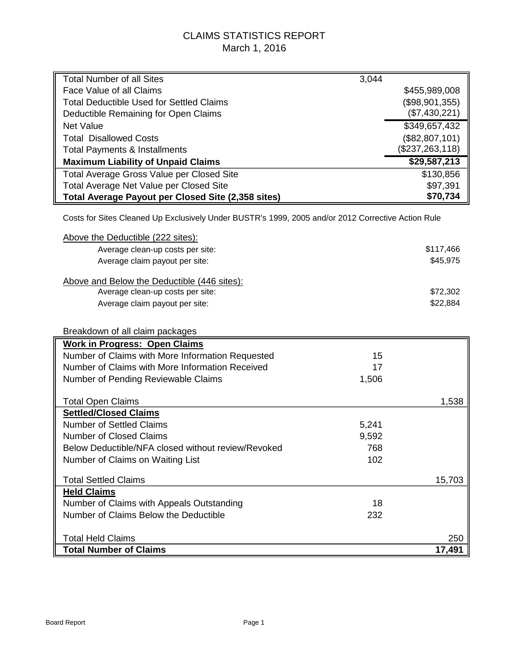## CLAIMS STATISTICS REPORT March 1, 2016

| <b>Total Number of all Sites</b>                                                                   | 3,044     |                   |  |  |  |  |  |  |
|----------------------------------------------------------------------------------------------------|-----------|-------------------|--|--|--|--|--|--|
| Face Value of all Claims                                                                           |           | \$455,989,008     |  |  |  |  |  |  |
| <b>Total Deductible Used for Settled Claims</b>                                                    |           | (\$98,901,355)    |  |  |  |  |  |  |
| Deductible Remaining for Open Claims                                                               |           | (\$7,430,221)     |  |  |  |  |  |  |
| <b>Net Value</b>                                                                                   |           | \$349,657,432     |  |  |  |  |  |  |
| <b>Total Disallowed Costs</b>                                                                      |           | (\$82,807,101)    |  |  |  |  |  |  |
| <b>Total Payments &amp; Installments</b>                                                           |           | (\$237, 263, 118) |  |  |  |  |  |  |
| <b>Maximum Liability of Unpaid Claims</b>                                                          |           | \$29,587,213      |  |  |  |  |  |  |
| <b>Total Average Gross Value per Closed Site</b>                                                   |           | \$130,856         |  |  |  |  |  |  |
| Total Average Net Value per Closed Site                                                            |           | \$97,391          |  |  |  |  |  |  |
| Total Average Payout per Closed Site (2,358 sites)                                                 |           | \$70,734          |  |  |  |  |  |  |
| Costs for Sites Cleaned Up Exclusively Under BUSTR's 1999, 2005 and/or 2012 Corrective Action Rule |           |                   |  |  |  |  |  |  |
| Above the Deductible (222 sites):                                                                  |           |                   |  |  |  |  |  |  |
| Average clean-up costs per site:                                                                   |           | \$117,466         |  |  |  |  |  |  |
| Average claim payout per site:                                                                     |           | \$45,975          |  |  |  |  |  |  |
|                                                                                                    |           |                   |  |  |  |  |  |  |
| Above and Below the Deductible (446 sites):<br>Average clean-up costs per site:                    |           | \$72,302          |  |  |  |  |  |  |
| Average claim payout per site:                                                                     |           | \$22,884          |  |  |  |  |  |  |
|                                                                                                    |           |                   |  |  |  |  |  |  |
|                                                                                                    |           |                   |  |  |  |  |  |  |
| Breakdown of all claim packages                                                                    |           |                   |  |  |  |  |  |  |
| <b>Work in Progress: Open Claims</b><br>Number of Claims with More Information Requested           | 15        |                   |  |  |  |  |  |  |
| Number of Claims with More Information Received                                                    | 17        |                   |  |  |  |  |  |  |
|                                                                                                    |           |                   |  |  |  |  |  |  |
| Number of Pending Reviewable Claims                                                                | 1,506     |                   |  |  |  |  |  |  |
| <b>Total Open Claims</b>                                                                           |           | 1,538             |  |  |  |  |  |  |
| <b>Settled/Closed Claims</b>                                                                       |           |                   |  |  |  |  |  |  |
| <b>Number of Settled Claims</b>                                                                    | 5,241     |                   |  |  |  |  |  |  |
| <b>Number of Closed Claims</b>                                                                     | 9,592     |                   |  |  |  |  |  |  |
| Below Deductible/NFA closed without review/Revoked                                                 | 768       |                   |  |  |  |  |  |  |
| Number of Claims on Waiting List                                                                   | 102       |                   |  |  |  |  |  |  |
|                                                                                                    |           |                   |  |  |  |  |  |  |
| <b>Total Settled Claims</b>                                                                        |           | 15,703            |  |  |  |  |  |  |
| <b>Held Claims</b>                                                                                 |           |                   |  |  |  |  |  |  |
| Number of Claims with Appeals Outstanding<br>Number of Claims Below the Deductible                 | 18<br>232 |                   |  |  |  |  |  |  |
|                                                                                                    |           |                   |  |  |  |  |  |  |
| <b>Total Held Claims</b>                                                                           |           | 250               |  |  |  |  |  |  |
| <b>Total Number of Claims</b>                                                                      |           | 17,491            |  |  |  |  |  |  |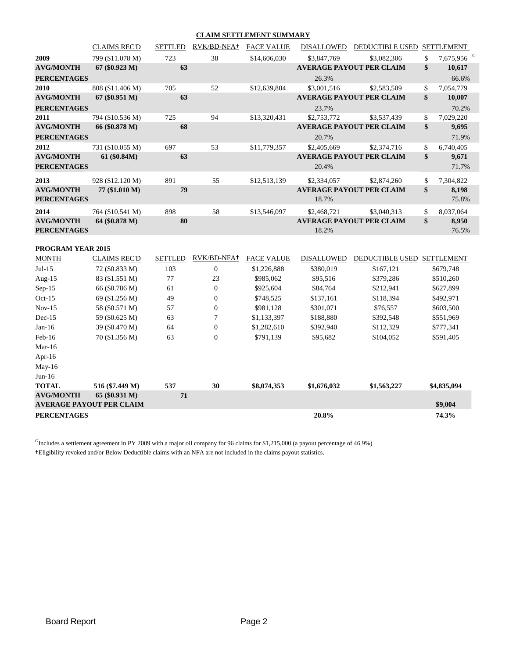#### **CLAIM SETTLEMENT SUMMARY**

|                          | <b>CLAIMS REC'D</b> | <b>SETTLED</b> | RVK/BD-NFA+           | <b>FACE VALUE</b> | <b>DISALLOWED</b> | <b>DEDUCTIBLE USED</b>          | <b>SETTLEMENT</b>            |
|--------------------------|---------------------|----------------|-----------------------|-------------------|-------------------|---------------------------------|------------------------------|
| 2009                     | 799 (\$11.078 M)    | 723            | 38                    | \$14,606,030      | \$3,847,769       | \$3,082,306                     | \$<br>7,675,956 <sup>G</sup> |
| <b>AVG/MONTH</b>         | 67 (80.923 M)       | 63             |                       |                   |                   | <b>AVERAGE PAYOUT PER CLAIM</b> | \$<br>10,617                 |
| <b>PERCENTAGES</b>       |                     |                |                       |                   | 26.3%             |                                 | 66.6%                        |
| 2010                     | 808 (\$11.406 M)    | 705            | 52                    | \$12,639,804      | \$3,001,516       | \$2,583,509                     | \$<br>7,054,779              |
| <b>AVG/MONTH</b>         | 67 (80.951 M)       | 63             |                       |                   |                   | <b>AVERAGE PAYOUT PER CLAIM</b> | \$<br>10,007                 |
| <b>PERCENTAGES</b>       |                     |                |                       |                   | 23.7%             |                                 | 70.2%                        |
| 2011                     | 794 (\$10.536 M)    | 725            | 94                    | \$13,320,431      | \$2,753,772       | \$3,537,439                     | \$<br>7,029,220              |
| <b>AVG/MONTH</b>         | 66 (\$0.878 M)      | 68             |                       |                   |                   | <b>AVERAGE PAYOUT PER CLAIM</b> | \$<br>9,695                  |
| <b>PERCENTAGES</b>       |                     |                |                       |                   | 20.7%             |                                 | 71.9%                        |
| 2012                     | 731 (\$10.055 M)    | 697            | 53                    | \$11,779,357      | \$2,405,669       | \$2,374,716                     | \$<br>6,740,405              |
| <b>AVG/MONTH</b>         | 61 (\$0.84M)        | 63             |                       |                   |                   | <b>AVERAGE PAYOUT PER CLAIM</b> | \$<br>9,671                  |
| <b>PERCENTAGES</b>       |                     |                |                       |                   | 20.4%             |                                 | 71.7%                        |
| 2013                     | 928 (\$12.120 M)    | 891            | 55                    | \$12,513,139      | \$2,334,057       | \$2,874,260                     | \$<br>7,304,822              |
| <b>AVG/MONTH</b>         | 77 (\$1.010 M)      | 79             |                       |                   |                   | <b>AVERAGE PAYOUT PER CLAIM</b> | \$<br>8,198                  |
| <b>PERCENTAGES</b>       |                     |                |                       |                   | 18.7%             |                                 | 75.8%                        |
| 2014                     | 764 (\$10.541 M)    | 898            | 58                    | \$13,546,097      | \$2,468,721       | \$3,040,313                     | \$<br>8,037,064              |
| <b>AVG/MONTH</b>         | 64 (\$0.878 M)      | 80             |                       |                   |                   | <b>AVERAGE PAYOUT PER CLAIM</b> | \$<br>8,950                  |
| <b>PERCENTAGES</b>       |                     |                |                       |                   | 18.2%             |                                 | 76.5%                        |
| <b>PROGRAM YEAR 2015</b> |                     |                | <b>DETECTOR</b> 17011 |                   |                   |                                 |                              |

| <b>MONTH</b>       | <b>CLAIMS REC'D</b>                               | <b>SETTLED</b> | RVK/BD-NFA+      | <b>FACE VALUE</b> | <b>DISALLOWED</b> | <b>DEDUCTIBLE USED</b> | <b>SETTLEMENT</b> |
|--------------------|---------------------------------------------------|----------------|------------------|-------------------|-------------------|------------------------|-------------------|
| $Jul-15$           | 72 (\$0.833 M)                                    | 103            | $\mathbf{0}$     | \$1,226,888       | \$380,019         | \$167,121              | \$679,748         |
| Aug- $15$          | 83 (\$1.551 M)                                    | 77             | 23               | \$985,062         | \$95,516          | \$379,286              | \$510,260         |
| $Sep-15$           | 66 (\$0.786 M)                                    | 61             | $\Omega$         | \$925,604         | \$84,764          | \$212,941              | \$627,899         |
| $Oct-15$           | 69 (\$1.256 M)                                    | 49             | $\overline{0}$   | \$748,525         | \$137,161         | \$118,394              | \$492,971         |
| $Nov-15$           | 58 (\$0.571 M)                                    | 57             | $\mathbf{0}$     | \$981,128         | \$301,071         | \$76,557               | \$603,500         |
| $Dec-15$           | 59 (\$0.625 M)                                    | 63             | 7                | \$1,133,397       | \$188,880         | \$392,548              | \$551,969         |
| $Jan-16$           | 39 (\$0.470 M)                                    | 64             | $\mathbf{0}$     | \$1,282,610       | \$392,940         | \$112,329              | \$777,341         |
| $Feb-16$           | 70 (\$1.356 M)                                    | 63             | $\boldsymbol{0}$ | \$791,139         | \$95,682          | \$104,052              | \$591,405         |
| Mar-16             |                                                   |                |                  |                   |                   |                        |                   |
| Apr- $16$          |                                                   |                |                  |                   |                   |                        |                   |
| $May-16$           |                                                   |                |                  |                   |                   |                        |                   |
| $Jun-16$           |                                                   |                |                  |                   |                   |                        |                   |
| <b>TOTAL</b>       | 516 (\$7.449 M)                                   | 537            | 30               | \$8,074,353       | \$1,676,032       | \$1,563,227            | \$4,835,094       |
| <b>AVG/MONTH</b>   | 65 (\$0.931 M)<br><b>AVERAGE PAYOUT PER CLAIM</b> | 71             |                  |                   |                   |                        | \$9,004           |
| <b>PERCENTAGES</b> |                                                   |                |                  |                   | 20.8%             |                        | 74.3%             |

 $<sup>G</sup>$ Includes a settlement agreement in PY 2009 with a major oil company for 96 claims for \$1,215,000 (a payout percentage of 46.9%)</sup> **†**Eligibility revoked and/or Below Deductible claims with an NFA are not included in the claims payout statistics.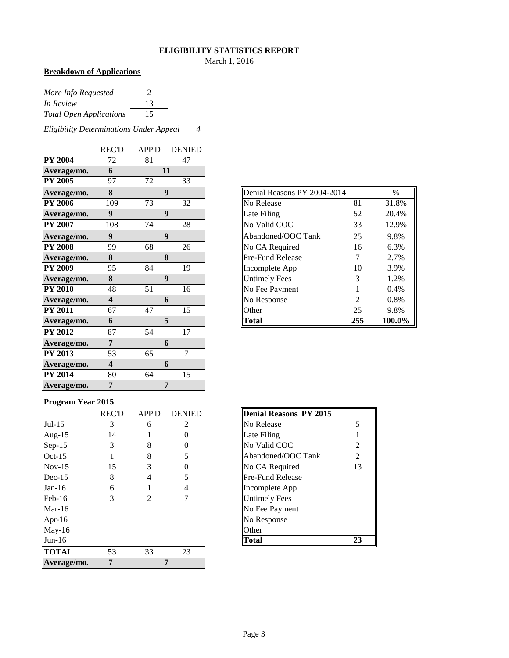#### **ELIGIBILITY STATISTICS REPORT**

March 1, 2016

## **Breakdown of Applications**

| More Info Requested            | 2  |
|--------------------------------|----|
| In Review                      | 13 |
| <b>Total Open Applications</b> | 15 |

*Eligibility Determinations Under Appeal 4*

|                | <b>REC'D</b>            | <b>APP'D</b> | <b>DENIED</b>    |
|----------------|-------------------------|--------------|------------------|
| <b>PY 2004</b> | 72                      | 81           | 47               |
| Average/mo.    | 6                       |              | 11               |
| <b>PY 2005</b> | 97                      | 72           | 33               |
| Average/mo.    | 8                       |              | $\boldsymbol{9}$ |
| <b>PY 2006</b> | 109                     | 73           | 32               |
| Average/mo.    | $\boldsymbol{9}$        |              | $\boldsymbol{9}$ |
| <b>PY 2007</b> | 108                     | 74           | 28               |
| Average/mo.    | $\boldsymbol{9}$        |              | 9                |
| <b>PY 2008</b> | 99                      | 68           | 26               |
| Average/mo.    | 8                       |              | 8                |
| <b>PY 2009</b> | 95                      | 84           | 19               |
| Average/mo.    | 8                       |              | 9                |
| <b>PY 2010</b> | 48                      | 51           | 16               |
| Average/mo.    | $\overline{\mathbf{4}}$ |              | 6                |
| <b>PY 2011</b> | 67                      | 47           | 15               |
| Average/mo.    | 6                       |              | 5                |
| <b>PY 2012</b> | 87                      | 54           | 17               |
| Average/mo.    | 7                       |              | 6                |
| <b>PY 2013</b> | 53                      | 65           | 7                |
| Average/mo.    | $\overline{\mathbf{4}}$ |              | 6                |
| <b>PY 2014</b> | 80                      | 64           | 15               |
| Average/mo.    | 7                       |              | 7                |

| Average/mo.    | 8   | 9  |    |
|----------------|-----|----|----|
| <b>PY 2006</b> | 109 | 73 | 32 |
| Average/mo.    | 9   | 9  |    |
| <b>PY 2007</b> | 108 | 74 | 28 |
| Average/mo.    | 9   | 9  |    |
| <b>PY 2008</b> | 99  | 68 | 26 |
| Average/mo.    | 8   | 8  |    |
| <b>PY 2009</b> | 95  | 84 | 19 |
| Average/mo.    | 8   | 9  |    |
| <b>PY 2010</b> | 48  | 51 | 16 |
| Average/mo.    | 4   | 6  |    |
| <b>PY 2011</b> | 67  | 47 | 15 |
| Average/mo.    | 6   | 5  |    |

#### **Program Year 2015**

|              | <b>REC'D</b> | <b>APP'D</b>   | <b>DENIED</b>     | Denial Reasons PY 2015  |
|--------------|--------------|----------------|-------------------|-------------------------|
| $Jul-15$     | 3            | 6              | 2                 | No Release<br>5         |
| Aug- $15$    | 14           |                | $\mathbf{\Omega}$ | Late Filing             |
| $Sep-15$     | 3            | 8              | $_{0}$            | No Valid COC<br>2       |
| $Oct-15$     |              | 8              | 5                 | Abandoned/OOC Tank<br>2 |
| $Nov-15$     | 15           | 3              | $_{0}$            | No CA Required<br>13    |
| $Dec-15$     | 8            | 4              | 5                 | <b>Pre-Fund Release</b> |
| $Jan-16$     | 6            |                | 4                 | Incomplete App          |
| $Feb-16$     | 3            | $\mathfrak{D}$ |                   | <b>Untimely Fees</b>    |
| Mar-16       |              |                |                   | No Fee Payment          |
| Apr-16       |              |                |                   | No Response             |
| May-16       |              |                |                   | Other                   |
| $Jun-16$     |              |                |                   | <b>Total</b><br>23      |
| <b>TOTAL</b> | 53           | 33             | 23                |                         |
| Average/mo.  | 7            |                | 7                 |                         |

| <b>Denial Reasons PY 2015</b> |                |
|-------------------------------|----------------|
| No Release                    | 5              |
| Late Filing                   |                |
| No Valid COC                  | 2              |
| Abandoned/OOC Tank            | $\mathfrak{D}$ |
| No CA Required                | 13             |
| Pre-Fund Release              |                |
| Incomplete App                |                |
| <b>Untimely Fees</b>          |                |
| No Fee Payment                |                |
| No Response                   |                |
| )ther                         |                |
|                               |                |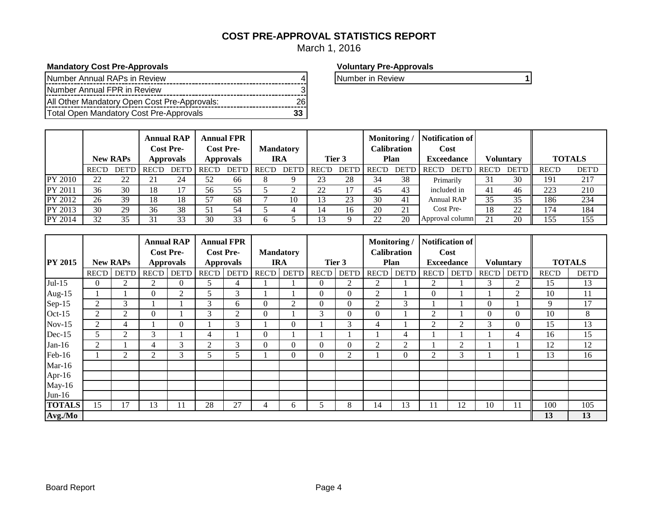## **COST PRE-APPROVAL STATISTICS REPORT**

March 1, 2016

#### **Mandatory Cost Pre-Approvals Voluntary Pre-Approvals**

| Number Annual RAPs in Review                 |  |
|----------------------------------------------|--|
| Number Annual FPR in Review                  |  |
| All Other Mandatory Open Cost Pre-Approvals: |  |
| Total Open Mandatory Cost Pre-Approvals      |  |

Number in Review **1** 

|         |              | <b>New RAPs</b> | <b>Annual RAP</b><br><b>Cost Pre-</b><br><b>Approvals</b> |         | <b>Annual FPR</b><br><b>Cost Pre-</b><br><b>Approvals</b> |              | <b>Mandatory</b><br><b>IRA</b> |    | Tier 3      |    | Monitoring<br>Calibration<br>Plan |       | <b>Notification of</b><br>Cost<br><b>Exceedance</b> | <b>Voluntary</b> |              | <b>TOTALS</b> |              |
|---------|--------------|-----------------|-----------------------------------------------------------|---------|-----------------------------------------------------------|--------------|--------------------------------|----|-------------|----|-----------------------------------|-------|-----------------------------------------------------|------------------|--------------|---------------|--------------|
|         | <b>REC'D</b> | DET'D           | REC'D                                                     | DET'D I | REC'D                                                     | <b>DET'D</b> | REC'D                          |    | DET'D REC'D |    | DET'D REC'D                       | DET'D | DET'D REC'D<br>REC'D                                |                  | <b>DET'D</b> | <b>REC'D</b>  | <b>DET'D</b> |
| PY 2010 | 22           | 22              |                                                           | 24      | 52                                                        | 66           |                                |    | 23          | 28 | 34                                | 38    | Primarily                                           | 31               | 30           | 191           | 217          |
| PY 2011 | 36           | 30              | 18                                                        | 17      | 56                                                        | 55           |                                |    | ാറ          | 17 | 45                                | 43    | included in                                         | 41               | 46           | 223           | 210          |
| PY 2012 | 26           | 39              | 18                                                        | 18      | 57                                                        | 68           |                                | 10 |             | 23 | 30                                | 41    | Annual RAP                                          | 35               | 35           | 186           | 234          |
| PY 2013 | 30           | 29              | 36                                                        | 38      | 51                                                        | 54           |                                |    |             | 16 | 20                                | 21    | Cost Pre-                                           | 18               | 22           | 174           | 184          |
| PY 2014 | 32           | 35              | 31                                                        | 33      | 30                                                        | 33           |                                |    |             |    | 22                                | 20    | Approval column                                     | 21               | 20           | 155           | 155          |

|                |          |                 |                | <b>Annual RAP</b> |              | <b>Annual FPR</b> |              |                  |              |              | Monitoring     |                    | <b>Notification of</b>      |                   |              |                  |              |               |
|----------------|----------|-----------------|----------------|-------------------|--------------|-------------------|--------------|------------------|--------------|--------------|----------------|--------------------|-----------------------------|-------------------|--------------|------------------|--------------|---------------|
|                |          |                 |                | <b>Cost Pre-</b>  |              | <b>Cost Pre-</b>  |              | <b>Mandatory</b> |              |              |                | <b>Calibration</b> |                             | Cost              |              |                  |              |               |
| <b>PY 2015</b> |          | <b>New RAPs</b> |                | <b>Approvals</b>  |              | <b>Approvals</b>  |              | <b>IRA</b>       |              | Tier 3       |                | Plan               |                             | <b>Exceedance</b> |              | <b>Voluntary</b> |              | <b>TOTALS</b> |
|                | REC'D    | <b>DET'D</b>    | REC'D          | DET'D             | <b>REC'D</b> | <b>DET'D</b>      | <b>REC'D</b> | DET'D            | <b>REC'D</b> | <b>DET'D</b> | <b>REC'D</b>   | <b>DET'D</b>       | RECD                        | <b>DET'D</b>      | <b>REC'D</b> | DET'D            | <b>REC'D</b> | <b>DET'D</b>  |
| $Jul-15$       | $\Omega$ | 2               | 2              | $\theta$          | 5            | 4                 |              |                  | $\Omega$     | 2            | 2              |                    | 2                           |                   | 3            | 2                | 15           | 13            |
| Aug- $15$      |          |                 | $\theta$       | 2                 | 5            | 3                 |              |                  | $\Omega$     | $\mathbf{0}$ | 2              |                    | $\theta$                    |                   |              | 2                | 10           | 11            |
| $Sep-15$       | 2        | 3               |                |                   | 3            | 6                 | $\Omega$     | 2                | $\Omega$     | $\mathbf{0}$ | 2              | 3                  |                             |                   | $\Omega$     |                  | 9            | 17            |
| $Oct-15$       | 2        | 2               | $\theta$       |                   | 3            | $\overline{2}$    | $\theta$     |                  | 3            | $\mathbf{0}$ | $\overline{0}$ |                    | $\overline{2}$              |                   | $\Omega$     | $\Omega$         | 10           | 8             |
| $Nov-15$       | 2        | 4               |                | $\mathbf{0}$      |              | 3                 |              | $\Omega$         |              | 3            | 4              |                    | $\overline{2}$              | $\overline{2}$    | 3            | 0                | 15           | 13            |
| Dec-15         | 5        | 2               | 3              |                   | 4            |                   | $\theta$     |                  |              |              |                | 4                  |                             |                   |              | 4                | 16           | 15            |
| $Jan-16$       | 2        |                 | 4              | 3                 | 2            | 3                 | $\Omega$     | $\Omega$         | $\Omega$     | $\mathbf{0}$ | 2              | 2                  |                             | $\overline{2}$    |              |                  | 12           | 12            |
| Feb-16         |          | $\overline{2}$  | $\overline{c}$ | 3                 | 5.           | ╮                 |              | $\theta$         | $\Omega$     | 2            |                | 0                  | $\mathcal{D}_{\mathcal{L}}$ | 3                 |              |                  | 13           | 16            |
| $Mar-16$       |          |                 |                |                   |              |                   |              |                  |              |              |                |                    |                             |                   |              |                  |              |               |
| Apr-16         |          |                 |                |                   |              |                   |              |                  |              |              |                |                    |                             |                   |              |                  |              |               |
| $May-16$       |          |                 |                |                   |              |                   |              |                  |              |              |                |                    |                             |                   |              |                  |              |               |
| $Jun-16$       |          |                 |                |                   |              |                   |              |                  |              |              |                |                    |                             |                   |              |                  |              |               |
| <b>TOTALS</b>  | 15       | 17              | 13             | 11                | 28           | 27                | 4            | 6                | 5            | 8            | 14             | 13                 | 11                          | 12                | 10           | 11               | 100          | 105           |
| Avg./Mo        |          |                 |                |                   |              |                   |              |                  |              |              |                |                    |                             |                   |              |                  | 13           | 13            |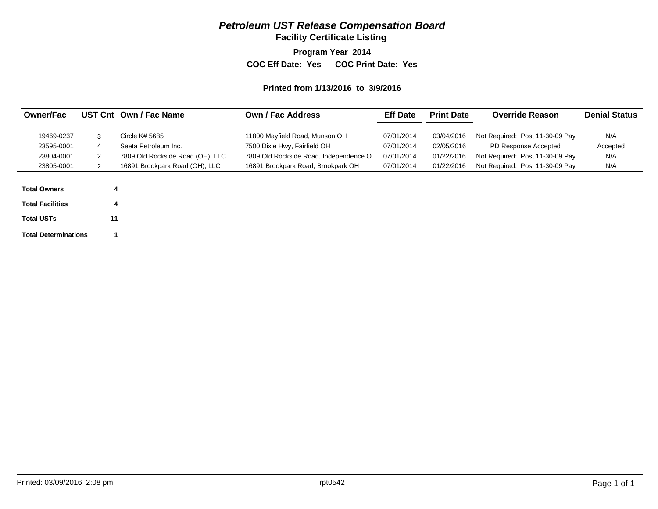## *Petroleum UST Release Compensation Board*

**Facility Certificate Listing**

**Program Year 2014**

**COC Eff Date: Yes COC Print Date: Yes** 

#### **Printed from 1/13/2016 to 3/9/2016**

| <b>Owner/Fac</b>        |        | UST Cnt Own / Fac Name           | <b>Own / Fac Address</b>               | <b>Eff Date</b> | <b>Print Date</b> | <b>Override Reason</b>          | <b>Denial Status</b> |
|-------------------------|--------|----------------------------------|----------------------------------------|-----------------|-------------------|---------------------------------|----------------------|
| 19469-0237              |        | Circle K# 5685                   | 11800 Mayfield Road, Munson OH         | 07/01/2014      | 03/04/2016        | Not Required: Post 11-30-09 Pay | N/A                  |
| 23595-0001              | 3<br>4 | Seeta Petroleum Inc.             | 7500 Dixie Hwy, Fairfield OH           | 07/01/2014      | 02/05/2016        | PD Response Accepted            | Accepted             |
| 23804-0001              | 2      | 7809 Old Rockside Road (OH), LLC | 7809 Old Rockside Road, Independence O | 07/01/2014      | 01/22/2016        | Not Required: Post 11-30-09 Pay | N/A                  |
| 23805-0001              | 2      | 16891 Brookpark Road (OH), LLC   | 16891 Brookpark Road, Brookpark OH     | 07/01/2014      | 01/22/2016        | Not Required: Post 11-30-09 Pay | N/A                  |
|                         |        |                                  |                                        |                 |                   |                                 |                      |
| <b>Total Owners</b>     |        |                                  |                                        |                 |                   |                                 |                      |
| <b>Total Facilities</b> |        |                                  |                                        |                 |                   |                                 |                      |

**Total USTs**

**11**

**Total Determinations 1**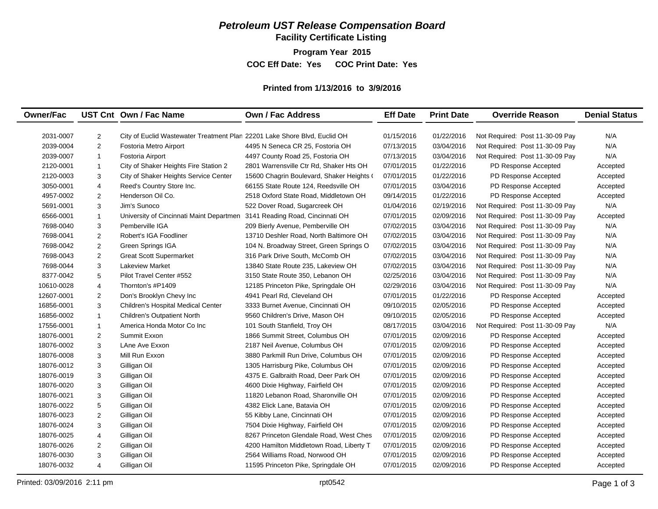## *Petroleum UST Release Compensation Board*

**Facility Certificate Listing**

**Program Year 2015**

**COC Eff Date: Yes COC Print Date: Yes** 

#### **Printed from 1/13/2016 to 3/9/2016**

| <b>Owner/Fac</b> |                | UST Cnt Own / Fac Name                                                    | Own / Fac Address                         | <b>Eff Date</b> | <b>Print Date</b> | <b>Override Reason</b>          | <b>Denial Status</b> |
|------------------|----------------|---------------------------------------------------------------------------|-------------------------------------------|-----------------|-------------------|---------------------------------|----------------------|
| 2031-0007        | 2              | City of Euclid Wastewater Treatment Plan 22201 Lake Shore Blvd, Euclid OH |                                           | 01/15/2016      | 01/22/2016        | Not Required: Post 11-30-09 Pay | N/A                  |
| 2039-0004        | 2              | Fostoria Metro Airport                                                    | 4495 N Seneca CR 25, Fostoria OH          | 07/13/2015      | 03/04/2016        | Not Required: Post 11-30-09 Pay | N/A                  |
| 2039-0007        | $\overline{1}$ | Fostoria Airport                                                          | 4497 County Road 25, Fostoria OH          | 07/13/2015      | 03/04/2016        | Not Required: Post 11-30-09 Pay | N/A                  |
| 2120-0001        | $\mathbf{1}$   | City of Shaker Heights Fire Station 2                                     | 2801 Warrensville Ctr Rd, Shaker Hts OH   | 07/01/2015      | 01/22/2016        | PD Response Accepted            | Accepted             |
| 2120-0003        | 3              | City of Shaker Heights Service Center                                     | 15600 Chagrin Boulevard, Shaker Heights ( | 07/01/2015      | 01/22/2016        | PD Response Accepted            | Accepted             |
| 3050-0001        | $\overline{4}$ | Reed's Country Store Inc.                                                 | 66155 State Route 124, Reedsville OH      | 07/01/2015      | 03/04/2016        | PD Response Accepted            | Accepted             |
| 4957-0002        | 2              | Henderson Oil Co.                                                         | 2518 Oxford State Road, Middletown OH     | 09/14/2015      | 01/22/2016        | PD Response Accepted            | Accepted             |
| 5691-0001        | 3              | Jim's Sunoco                                                              | 522 Dover Road, Sugarcreek OH             | 01/04/2016      | 02/19/2016        | Not Required: Post 11-30-09 Pay | N/A                  |
| 6566-0001        | $\mathbf{1}$   | University of Cincinnati Maint Departmen                                  | 3141 Reading Road, Cincinnati OH          | 07/01/2015      | 02/09/2016        | Not Required: Post 11-30-09 Pay | Accepted             |
| 7698-0040        | 3              | Pemberville IGA                                                           | 209 Bierly Avenue, Pemberville OH         | 07/02/2015      | 03/04/2016        | Not Required: Post 11-30-09 Pay | N/A                  |
| 7698-0041        | 2              | Robert's IGA Foodliner                                                    | 13710 Deshler Road, North Baltimore OH    | 07/02/2015      | 03/04/2016        | Not Required: Post 11-30-09 Pay | N/A                  |
| 7698-0042        | 2              | Green Springs IGA                                                         | 104 N. Broadway Street, Green Springs O   | 07/02/2015      | 03/04/2016        | Not Required: Post 11-30-09 Pay | N/A                  |
| 7698-0043        | 2              | <b>Great Scott Supermarket</b>                                            | 316 Park Drive South, McComb OH           | 07/02/2015      | 03/04/2016        | Not Required: Post 11-30-09 Pay | N/A                  |
| 7698-0044        | 3              | <b>Lakeview Market</b>                                                    | 13840 State Route 235, Lakeview OH        | 07/02/2015      | 03/04/2016        | Not Required: Post 11-30-09 Pay | N/A                  |
| 8377-0042        | 5              | Pilot Travel Center #552                                                  | 3150 State Route 350, Lebanon OH          | 02/25/2016      | 03/04/2016        | Not Required: Post 11-30-09 Pay | N/A                  |
| 10610-0028       | $\overline{4}$ | Thornton's #P1409                                                         | 12185 Princeton Pike, Springdale OH       | 02/29/2016      | 03/04/2016        | Not Required: Post 11-30-09 Pay | N/A                  |
| 12607-0001       | 2              | Don's Brooklyn Chevy Inc                                                  | 4941 Pearl Rd, Cleveland OH               | 07/01/2015      | 01/22/2016        | PD Response Accepted            | Accepted             |
| 16856-0001       | 3              | Children's Hospital Medical Center                                        | 3333 Burnet Avenue, Cincinnati OH         | 09/10/2015      | 02/05/2016        | PD Response Accepted            | Accepted             |
| 16856-0002       | $\mathbf{1}$   | <b>Children's Outpatient North</b>                                        | 9560 Children's Drive, Mason OH           | 09/10/2015      | 02/05/2016        | PD Response Accepted            | Accepted             |
| 17556-0001       | $\mathbf{1}$   | America Honda Motor Co Inc                                                | 101 South Stanfield, Troy OH              | 08/17/2015      | 03/04/2016        | Not Required: Post 11-30-09 Pay | N/A                  |
| 18076-0001       | 2              | Summit Exxon                                                              | 1866 Summit Street, Columbus OH           | 07/01/2015      | 02/09/2016        | PD Response Accepted            | Accepted             |
| 18076-0002       | 3              | LAne Ave Exxon                                                            | 2187 Neil Avenue, Columbus OH             | 07/01/2015      | 02/09/2016        | PD Response Accepted            | Accepted             |
| 18076-0008       | 3              | Mill Run Exxon                                                            | 3880 Parkmill Run Drive, Columbus OH      | 07/01/2015      | 02/09/2016        | PD Response Accepted            | Accepted             |
| 18076-0012       | 3              | Gilligan Oil                                                              | 1305 Harrisburg Pike, Columbus OH         | 07/01/2015      | 02/09/2016        | PD Response Accepted            | Accepted             |
| 18076-0019       | 3              | Gilligan Oil                                                              | 4375 E. Galbraith Road, Deer Park OH      | 07/01/2015      | 02/09/2016        | PD Response Accepted            | Accepted             |
| 18076-0020       | 3              | Gilligan Oil                                                              | 4600 Dixie Highway, Fairfield OH          | 07/01/2015      | 02/09/2016        | PD Response Accepted            | Accepted             |
| 18076-0021       | 3              | Gilligan Oil                                                              | 11820 Lebanon Road, Sharonville OH        | 07/01/2015      | 02/09/2016        | PD Response Accepted            | Accepted             |
| 18076-0022       | 5              | Gilligan Oil                                                              | 4382 Elick Lane, Batavia OH               | 07/01/2015      | 02/09/2016        | PD Response Accepted            | Accepted             |
| 18076-0023       | 2              | Gilligan Oil                                                              | 55 Kibby Lane, Cincinnati OH              | 07/01/2015      | 02/09/2016        | PD Response Accepted            | Accepted             |
| 18076-0024       | 3              | Gilligan Oil                                                              | 7504 Dixie Highway, Fairfield OH          | 07/01/2015      | 02/09/2016        | PD Response Accepted            | Accepted             |
| 18076-0025       | $\overline{4}$ | Gilligan Oil                                                              | 8267 Princeton Glendale Road, West Ches   | 07/01/2015      | 02/09/2016        | PD Response Accepted            | Accepted             |
| 18076-0026       | 2              | Gilligan Oil                                                              | 4200 Hamilton Middletown Road, Liberty T  | 07/01/2015      | 02/09/2016        | PD Response Accepted            | Accepted             |
| 18076-0030       | 3              | Gilligan Oil                                                              | 2564 Williams Road, Norwood OH            | 07/01/2015      | 02/09/2016        | PD Response Accepted            | Accepted             |
| 18076-0032       | $\overline{4}$ | Gilligan Oil                                                              | 11595 Princeton Pike, Springdale OH       | 07/01/2015      | 02/09/2016        | PD Response Accepted            | Accepted             |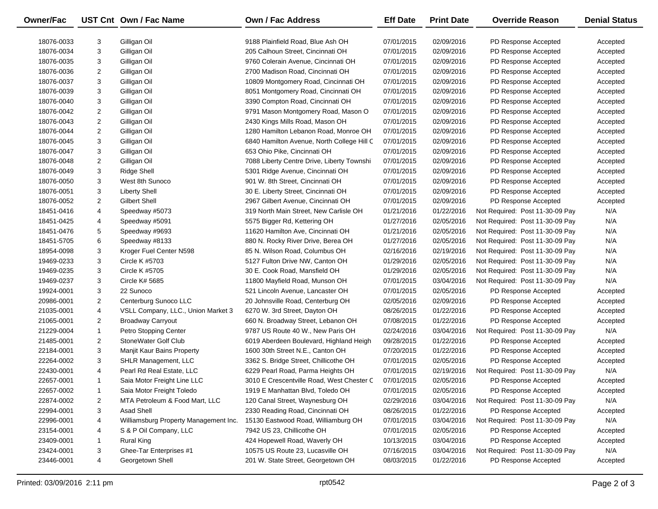| Owner/Fac  |                | UST Cnt Own / Fac Name                | Own / Fac Address                          | <b>Eff Date</b> | <b>Print Date</b> | <b>Override Reason</b>          | <b>Denial Status</b> |
|------------|----------------|---------------------------------------|--------------------------------------------|-----------------|-------------------|---------------------------------|----------------------|
| 18076-0033 | 3              | Gilligan Oil                          | 9188 Plainfield Road, Blue Ash OH          | 07/01/2015      | 02/09/2016        | PD Response Accepted            | Accepted             |
| 18076-0034 | 3              | Gilligan Oil                          | 205 Calhoun Street, Cincinnati OH          | 07/01/2015      | 02/09/2016        | PD Response Accepted            | Accepted             |
| 18076-0035 | 3              | Gilligan Oil                          | 9760 Colerain Avenue, Cincinnati OH        | 07/01/2015      | 02/09/2016        | PD Response Accepted            | Accepted             |
| 18076-0036 | 2              | Gilligan Oil                          | 2700 Madison Road, Cincinnati OH           | 07/01/2015      | 02/09/2016        | PD Response Accepted            | Accepted             |
| 18076-0037 | 3              | Gilligan Oil                          | 10809 Montgomery Road, Cincinnati OH       | 07/01/2015      | 02/09/2016        | PD Response Accepted            | Accepted             |
| 18076-0039 | 3              | Gilligan Oil                          | 8051 Montgomery Road, Cincinnati OH        | 07/01/2015      | 02/09/2016        | PD Response Accepted            | Accepted             |
| 18076-0040 | 3              | Gilligan Oil                          | 3390 Compton Road, Cincinnati OH           | 07/01/2015      | 02/09/2016        | PD Response Accepted            | Accepted             |
| 18076-0042 | 2              | Gilligan Oil                          | 9791 Mason Montgomery Road, Mason O        | 07/01/2015      | 02/09/2016        | PD Response Accepted            | Accepted             |
| 18076-0043 | $\overline{c}$ | Gilligan Oil                          | 2430 Kings Mills Road, Mason OH            | 07/01/2015      | 02/09/2016        | PD Response Accepted            | Accepted             |
| 18076-0044 | $\overline{c}$ | Gilligan Oil                          | 1280 Hamilton Lebanon Road, Monroe OH      | 07/01/2015      | 02/09/2016        | PD Response Accepted            | Accepted             |
| 18076-0045 | 3              | Gilligan Oil                          | 6840 Hamilton Avenue, North College Hill C | 07/01/2015      | 02/09/2016        | PD Response Accepted            | Accepted             |
| 18076-0047 | 3              | Gilligan Oil                          | 653 Ohio Pike, Cincinnati OH               | 07/01/2015      | 02/09/2016        | PD Response Accepted            | Accepted             |
| 18076-0048 | 2              | Gilligan Oil                          | 7088 Liberty Centre Drive, Liberty Townshi | 07/01/2015      | 02/09/2016        | PD Response Accepted            | Accepted             |
| 18076-0049 | 3              | Ridge Shell                           | 5301 Ridge Avenue, Cincinnati OH           | 07/01/2015      | 02/09/2016        | PD Response Accepted            | Accepted             |
| 18076-0050 | 3              | West 8th Sunoco                       | 901 W. 8th Street, Cincinnati OH           | 07/01/2015      | 02/09/2016        | PD Response Accepted            | Accepted             |
| 18076-0051 | 3              | <b>Liberty Shell</b>                  | 30 E. Liberty Street, Cincinnati OH        | 07/01/2015      | 02/09/2016        | PD Response Accepted            | Accepted             |
| 18076-0052 | 2              | Gilbert Shell                         | 2967 Gilbert Avenue, Cincinnati OH         | 07/01/2015      | 02/09/2016        | PD Response Accepted            | Accepted             |
| 18451-0416 | 4              | Speedway #5073                        | 319 North Main Street, New Carlisle OH     | 01/21/2016      | 01/22/2016        | Not Required: Post 11-30-09 Pay | N/A                  |
| 18451-0425 | 4              | Speedway #5091                        | 5575 Bigger Rd, Kettering OH               | 01/27/2016      | 02/05/2016        | Not Required: Post 11-30-09 Pay | N/A                  |
| 18451-0476 | 5              | Speedway #9693                        | 11620 Hamilton Ave, Cincinnati OH          | 01/21/2016      | 02/05/2016        | Not Required: Post 11-30-09 Pay | N/A                  |
| 18451-5705 | 6              | Speedway #8133                        | 880 N. Rocky River Drive, Berea OH         | 01/27/2016      | 02/05/2016        | Not Required: Post 11-30-09 Pay | N/A                  |
| 18954-0098 | 3              | Kroger Fuel Center N598               | 85 N. Wilson Road, Columbus OH             | 02/16/2016      | 02/19/2016        | Not Required: Post 11-30-09 Pay | N/A                  |
| 19469-0233 | 3              | Circle K #5703                        | 5127 Fulton Drive NW, Canton OH            | 01/29/2016      | 02/05/2016        | Not Required: Post 11-30-09 Pay | N/A                  |
| 19469-0235 | 3              | Circle K #5705                        | 30 E. Cook Road, Mansfield OH              | 01/29/2016      | 02/05/2016        | Not Required: Post 11-30-09 Pay | N/A                  |
| 19469-0237 | 3              | Circle K# 5685                        | 11800 Mayfield Road, Munson OH             | 07/01/2015      | 03/04/2016        | Not Required: Post 11-30-09 Pay | N/A                  |
| 19924-0001 | 3              | 22 Sunoco                             | 521 Lincoln Avenue, Lancaster OH           | 07/01/2015      | 02/05/2016        | PD Response Accepted            | Accepted             |
| 20986-0001 | $\overline{c}$ | Centerburg Sunoco LLC                 | 20 Johnsville Road, Centerburg OH          | 02/05/2016      | 02/09/2016        | PD Response Accepted            | Accepted             |
| 21035-0001 | 4              | VSLL Company, LLC., Union Market 3    | 6270 W. 3rd Street, Dayton OH              | 08/26/2015      | 01/22/2016        | PD Response Accepted            | Accepted             |
| 21065-0001 | 2              | <b>Broadway Carryout</b>              | 660 N. Broadway Street, Lebanon OH         | 07/08/2015      | 01/22/2016        | PD Response Accepted            | Accepted             |
| 21229-0004 | $\mathbf{1}$   | Petro Stopping Center                 | 9787 US Route 40 W., New Paris OH          | 02/24/2016      | 03/04/2016        | Not Required: Post 11-30-09 Pay | N/A                  |
| 21485-0001 | $\overline{c}$ | StoneWater Golf Club                  | 6019 Aberdeen Boulevard, Highland Heigh    | 09/28/2015      | 01/22/2016        | PD Response Accepted            | Accepted             |
| 22184-0001 | 3              | Manjit Kaur Bains Property            | 1600 30th Street N.E., Canton OH           | 07/20/2015      | 01/22/2016        | PD Response Accepted            | Accepted             |
| 22264-0002 | 3              | SHLR Management, LLC                  | 3362 S. Bridge Street, Chillicothe OH      | 07/01/2015      | 02/05/2016        | PD Response Accepted            | Accepted             |
| 22430-0001 | 4              | Pearl Rd Real Estate, LLC             | 6229 Pearl Road, Parma Heights OH          | 07/01/2015      | 02/19/2016        | Not Required: Post 11-30-09 Pay | N/A                  |
| 22657-0001 | $\mathbf{1}$   | Saia Motor Freight Line LLC           | 3010 E Crescentville Road, West Chester C  | 07/01/2015      | 02/05/2016        | PD Response Accepted            | Accepted             |
| 22657-0002 |                | Saia Motor Freight Toledo             | 1919 E Manhattan Blvd, Toledo OH           | 07/01/2015      | 02/05/2016        | PD Response Accepted            | Accepted             |
| 22874-0002 | 2              | MTA Petroleum & Food Mart, LLC        | 120 Canal Street, Waynesburg OH            | 02/29/2016      | 03/04/2016        | Not Required: Post 11-30-09 Pay | N/A                  |
| 22994-0001 | 3              | <b>Asad Shell</b>                     | 2330 Reading Road, Cincinnati OH           | 08/26/2015      | 01/22/2016        | PD Response Accepted            | Accepted             |
| 22996-0001 | 4              | Williamsburg Property Management Inc. | 15130 Eastwood Road, Williamburg OH        | 07/01/2015      | 03/04/2016        | Not Required: Post 11-30-09 Pay | N/A                  |
| 23154-0001 | 4              | S & P Oil Company, LLC                | 7942 US 23, Chillicothe OH                 | 07/01/2015      | 02/05/2016        | PD Response Accepted            | Accepted             |
| 23409-0001 | $\mathbf{1}$   | Rural King                            | 424 Hopewell Road, Waverly OH              | 10/13/2015      | 03/04/2016        | PD Response Accepted            | Accepted             |
| 23424-0001 | 3              | Ghee-Tar Enterprises #1               | 10575 US Route 23, Lucasville OH           | 07/16/2015      | 03/04/2016        | Not Required: Post 11-30-09 Pay | N/A                  |
| 23446-0001 | 4              | Georgetown Shell                      | 201 W. State Street, Georgetown OH         | 08/03/2015      | 01/22/2016        | PD Response Accepted            | Accepted             |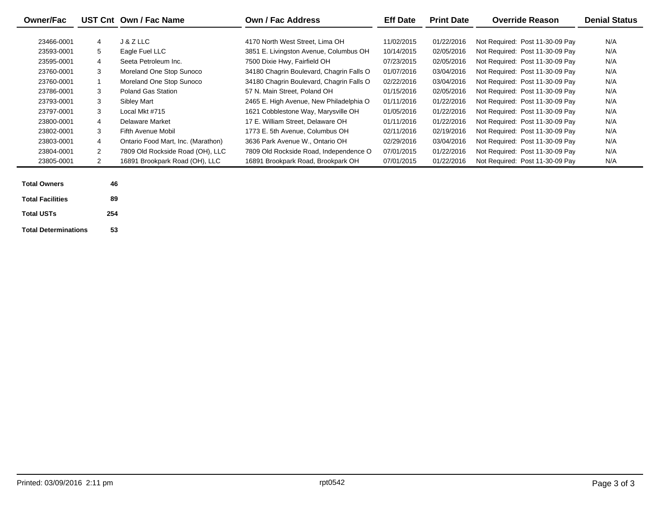| <b>Owner/Fac</b> |                | UST Cnt Own / Fac Name             | <b>Own / Fac Address</b>                 | <b>Eff Date</b> | <b>Print Date</b> | <b>Override Reason</b>          | <b>Denial Status</b> |
|------------------|----------------|------------------------------------|------------------------------------------|-----------------|-------------------|---------------------------------|----------------------|
| 23466-0001       | 4              | J & Z LLC                          | 4170 North West Street. Lima OH          | 11/02/2015      | 01/22/2016        | Not Required: Post 11-30-09 Pay | N/A                  |
| 23593-0001       | 5              | Eagle Fuel LLC                     | 3851 E. Livingston Avenue, Columbus OH   | 10/14/2015      | 02/05/2016        | Not Required: Post 11-30-09 Pay | N/A                  |
| 23595-0001       | 4              | Seeta Petroleum Inc.               | 7500 Dixie Hwy, Fairfield OH             | 07/23/2015      | 02/05/2016        | Not Required: Post 11-30-09 Pay | N/A                  |
| 23760-0001       | 3              | Moreland One Stop Sunoco           | 34180 Chagrin Boulevard, Chagrin Falls O | 01/07/2016      | 03/04/2016        | Not Required: Post 11-30-09 Pay | N/A                  |
| 23760-0001       |                | Moreland One Stop Sunoco           | 34180 Chagrin Boulevard, Chagrin Falls O | 02/22/2016      | 03/04/2016        | Not Required: Post 11-30-09 Pay | N/A                  |
| 23786-0001       | 3              | Poland Gas Station                 | 57 N. Main Street. Poland OH             | 01/15/2016      | 02/05/2016        | Not Required: Post 11-30-09 Pay | N/A                  |
| 23793-0001       | 3              | Sibley Mart                        | 2465 E. High Avenue, New Philadelphia O  | 01/11/2016      | 01/22/2016        | Not Required: Post 11-30-09 Pay | N/A                  |
| 23797-0001       | 3              | Local Mkt #715                     | 1621 Cobblestone Way, Marysville OH      | 01/05/2016      | 01/22/2016        | Not Required: Post 11-30-09 Pay | N/A                  |
| 23800-0001       | 4              | Delaware Market                    | 17 E. William Street, Delaware OH        | 01/11/2016      | 01/22/2016        | Not Required: Post 11-30-09 Pay | N/A                  |
| 23802-0001       | 3              | Fifth Avenue Mobil                 | 1773 E. 5th Avenue, Columbus OH          | 02/11/2016      | 02/19/2016        | Not Required: Post 11-30-09 Pay | N/A                  |
| 23803-0001       | 4              | Ontario Food Mart, Inc. (Marathon) | 3636 Park Avenue W., Ontario OH          | 02/29/2016      | 03/04/2016        | Not Required: Post 11-30-09 Pay | N/A                  |
| 23804-0001       | $\overline{2}$ | 7809 Old Rockside Road (OH), LLC   | 7809 Old Rockside Road, Independence O   | 07/01/2015      | 01/22/2016        | Not Required: Post 11-30-09 Pay | N/A                  |
| 23805-0001       | $\mathbf{2}$   | 16891 Brookpark Road (OH), LLC     | 16891 Brookpark Road, Brookpark OH       | 07/01/2015      | 01/22/2016        | Not Required: Post 11-30-09 Pay | N/A                  |

| <b>Total Owners</b>         | 46  |  |
|-----------------------------|-----|--|
| <b>Total Facilities</b>     | 89  |  |
| <b>Total USTs</b>           | 254 |  |
| <b>Total Determinations</b> | 53  |  |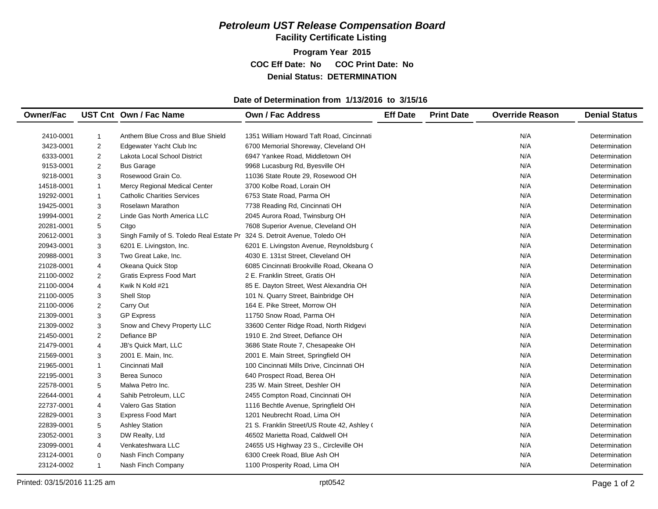## *Petroleum UST Release Compensation Board*  **Facility Certificate Listing**

**Program Year 2015 COC Eff Date: No COC Print Date: No Denial Status: DETERMINATION**

#### **Date of Determination from 1/13/2016 to 3/15/16**

| <b>Owner/Fac</b> |                         | UST Cnt Own / Fac Name                                                    | <b>Own / Fac Address</b>                    | <b>Eff Date</b> | <b>Print Date</b> | <b>Override Reason</b> | <b>Denial Status</b> |
|------------------|-------------------------|---------------------------------------------------------------------------|---------------------------------------------|-----------------|-------------------|------------------------|----------------------|
|                  |                         |                                                                           |                                             |                 |                   |                        |                      |
| 2410-0001        | 1                       | Anthem Blue Cross and Blue Shield                                         | 1351 William Howard Taft Road, Cincinnati   |                 |                   | N/A                    | Determination        |
| 3423-0001        | $\overline{2}$          | Edgewater Yacht Club Inc                                                  | 6700 Memorial Shoreway, Cleveland OH        |                 |                   | N/A                    | Determination        |
| 6333-0001        | $\overline{\mathbf{c}}$ | Lakota Local School District                                              | 6947 Yankee Road, Middletown OH             |                 |                   | N/A                    | Determination        |
| 9153-0001        | $\overline{2}$          | <b>Bus Garage</b>                                                         | 9968 Lucasburg Rd, Byesville OH             |                 |                   | N/A                    | Determination        |
| 9218-0001        | 3                       | Rosewood Grain Co.                                                        | 11036 State Route 29, Rosewood OH           |                 |                   | N/A                    | Determination        |
| 14518-0001       | $\mathbf{1}$            | Mercy Regional Medical Center                                             | 3700 Kolbe Road, Lorain OH                  |                 |                   | N/A                    | Determination        |
| 19292-0001       | $\mathbf{1}$            | <b>Catholic Charities Services</b>                                        | 6753 State Road, Parma OH                   |                 |                   | N/A                    | Determination        |
| 19425-0001       | 3                       | Roselawn Marathon                                                         | 7738 Reading Rd, Cincinnati OH              |                 |                   | N/A                    | Determination        |
| 19994-0001       | 2                       | Linde Gas North America LLC                                               | 2045 Aurora Road, Twinsburg OH              |                 |                   | N/A                    | Determination        |
| 20281-0001       | 5                       | Citgo                                                                     | 7608 Superior Avenue, Cleveland OH          |                 |                   | N/A                    | Determination        |
| 20612-0001       | 3                       | Singh Family of S. Toledo Real Estate Pr 324 S. Detroit Avenue, Toledo OH |                                             |                 |                   | N/A                    | Determination        |
| 20943-0001       | 3                       | 6201 E. Livingston, Inc.                                                  | 6201 E. Livingston Avenue, Reynoldsburg (   |                 |                   | N/A                    | Determination        |
| 20988-0001       | 3                       | Two Great Lake, Inc.                                                      | 4030 E. 131st Street, Cleveland OH          |                 |                   | N/A                    | Determination        |
| 21028-0001       | $\overline{4}$          | Okeana Quick Stop                                                         | 6085 Cincinnati Brookville Road, Okeana O   |                 |                   | N/A                    | Determination        |
| 21100-0002       | 2                       | <b>Gratis Express Food Mart</b>                                           | 2 E. Franklin Street, Gratis OH             |                 |                   | N/A                    | Determination        |
| 21100-0004       | $\overline{4}$          | Kwik N Kold #21                                                           | 85 E. Dayton Street, West Alexandria OH     |                 |                   | N/A                    | Determination        |
| 21100-0005       | 3                       | Shell Stop                                                                | 101 N. Quarry Street, Bainbridge OH         |                 |                   | N/A                    | Determination        |
| 21100-0006       | $\overline{\mathbf{c}}$ | Carry Out                                                                 | 164 E. Pike Street, Morrow OH               |                 |                   | N/A                    | Determination        |
| 21309-0001       | 3                       | <b>GP Express</b>                                                         | 11750 Snow Road, Parma OH                   |                 |                   | N/A                    | Determination        |
| 21309-0002       | 3                       | Snow and Chevy Property LLC                                               | 33600 Center Ridge Road, North Ridgevi      |                 |                   | N/A                    | Determination        |
| 21450-0001       | $\overline{2}$          | Defiance BP                                                               | 1910 E. 2nd Street, Defiance OH             |                 |                   | N/A                    | Determination        |
| 21479-0001       | 4                       | JB's Quick Mart, LLC                                                      | 3686 State Route 7, Chesapeake OH           |                 |                   | N/A                    | Determination        |
| 21569-0001       | 3                       | 2001 E. Main, Inc.                                                        | 2001 E. Main Street, Springfield OH         |                 |                   | N/A                    | Determination        |
| 21965-0001       | $\mathbf{1}$            | Cincinnati Mall                                                           | 100 Cincinnati Mills Drive, Cincinnati OH   |                 |                   | N/A                    | Determination        |
| 22195-0001       | 3                       | Berea Sunoco                                                              | 640 Prospect Road, Berea OH                 |                 |                   | N/A                    | Determination        |
| 22578-0001       | 5                       | Malwa Petro Inc.                                                          | 235 W. Main Street, Deshler OH              |                 |                   | N/A                    | Determination        |
| 22644-0001       | 4                       | Sahib Petroleum, LLC                                                      | 2455 Compton Road, Cincinnati OH            |                 |                   | N/A                    | Determination        |
| 22737-0001       | 4                       | <b>Valero Gas Station</b>                                                 | 1116 Bechtle Avenue, Springfield OH         |                 |                   | N/A                    | Determination        |
| 22829-0001       | 3                       | <b>Express Food Mart</b>                                                  | 1201 Neubrecht Road, Lima OH                |                 |                   | N/A                    | Determination        |
| 22839-0001       | 5                       | <b>Ashley Station</b>                                                     | 21 S. Franklin Street/US Route 42, Ashley ( |                 |                   | N/A                    | Determination        |
| 23052-0001       | 3                       | DW Realty, Ltd                                                            | 46502 Marietta Road, Caldwell OH            |                 |                   | N/A                    | Determination        |
| 23099-0001       | 4                       | Venkateshwara LLC                                                         | 24655 US Highway 23 S., Circleville OH      |                 |                   | N/A                    | Determination        |
| 23124-0001       | $\mathbf 0$             | Nash Finch Company                                                        | 6300 Creek Road, Blue Ash OH                |                 |                   | N/A                    | Determination        |
| 23124-0002       | $\mathbf{1}$            | Nash Finch Company                                                        | 1100 Prosperity Road, Lima OH               |                 |                   | N/A                    | Determination        |